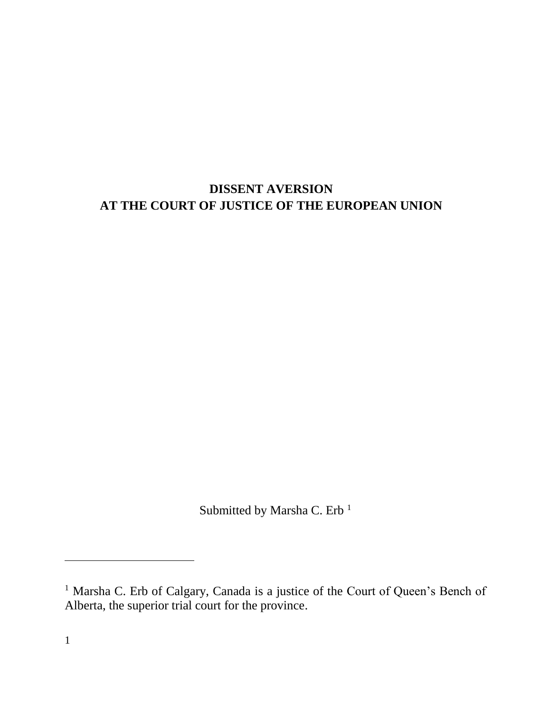# **DISSENT AVERSION AT THE COURT OF JUSTICE OF THE EUROPEAN UNION**

Submitted by Marsha C. Erb<sup>1</sup>

<sup>&</sup>lt;sup>1</sup> Marsha C. Erb of Calgary, Canada is a justice of the Court of Queen's Bench of Alberta, the superior trial court for the province.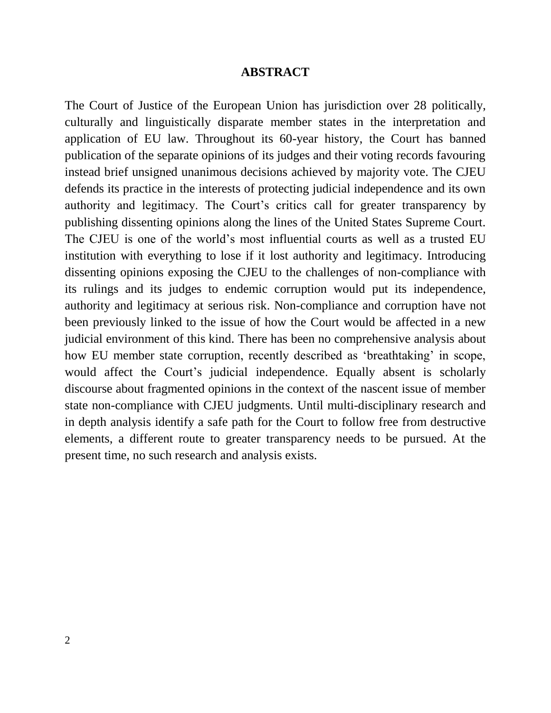#### **ABSTRACT**

The Court of Justice of the European Union has jurisdiction over 28 politically, culturally and linguistically disparate member states in the interpretation and application of EU law. Throughout its 60-year history, the Court has banned publication of the separate opinions of its judges and their voting records favouring instead brief unsigned unanimous decisions achieved by majority vote. The CJEU defends its practice in the interests of protecting judicial independence and its own authority and legitimacy. The Court's critics call for greater transparency by publishing dissenting opinions along the lines of the United States Supreme Court. The CJEU is one of the world's most influential courts as well as a trusted EU institution with everything to lose if it lost authority and legitimacy. Introducing dissenting opinions exposing the CJEU to the challenges of non-compliance with its rulings and its judges to endemic corruption would put its independence, authority and legitimacy at serious risk. Non-compliance and corruption have not been previously linked to the issue of how the Court would be affected in a new judicial environment of this kind. There has been no comprehensive analysis about how EU member state corruption, recently described as 'breathtaking' in scope, would affect the Court's judicial independence. Equally absent is scholarly discourse about fragmented opinions in the context of the nascent issue of member state non-compliance with CJEU judgments. Until multi-disciplinary research and in depth analysis identify a safe path for the Court to follow free from destructive elements, a different route to greater transparency needs to be pursued. At the present time, no such research and analysis exists.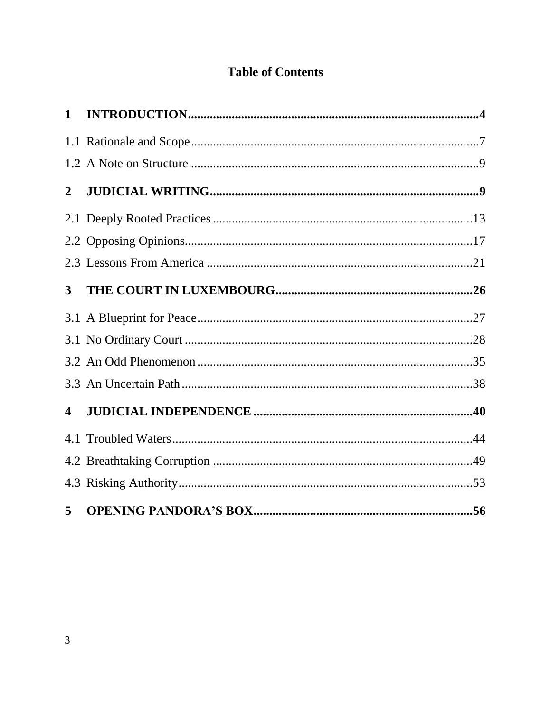# **Table of Contents**

<span id="page-2-0"></span>

| $\mathbf{1}$            |  |
|-------------------------|--|
|                         |  |
|                         |  |
| $\mathbf{2}$            |  |
|                         |  |
|                         |  |
|                         |  |
| 3                       |  |
|                         |  |
|                         |  |
|                         |  |
|                         |  |
| $\overline{\mathbf{4}}$ |  |
|                         |  |
|                         |  |
|                         |  |
| 5                       |  |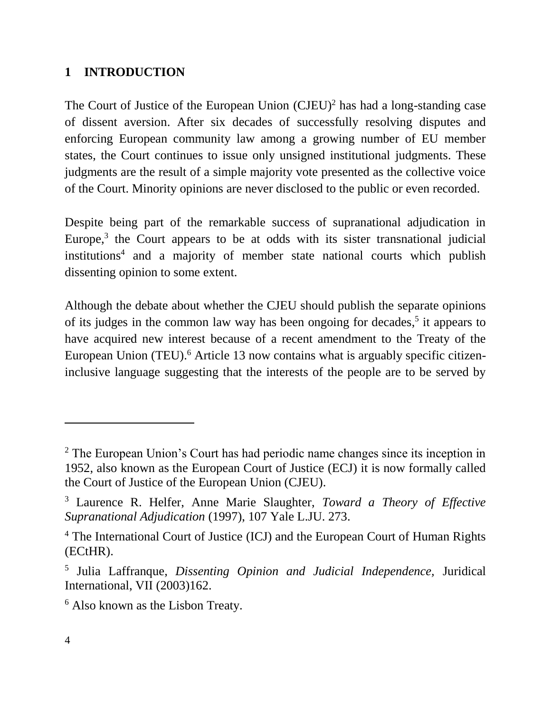#### **1 INTRODUCTION**

The Court of Justice of the European Union  $(CJEU)^2$  has had a long-standing case of dissent aversion. After six decades of successfully resolving disputes and enforcing European community law among a growing number of EU member states, the Court continues to issue only unsigned institutional judgments. These judgments are the result of a simple majority vote presented as the collective voice of the Court. Minority opinions are never disclosed to the public or even recorded.

Despite being part of the remarkable success of supranational adjudication in Europe,<sup>3</sup> the Court appears to be at odds with its sister transnational judicial institutions<sup>4</sup> and a majority of member state national courts which publish dissenting opinion to some extent.

Although the debate about whether the CJEU should publish the separate opinions of its judges in the common law way has been ongoing for decades,<sup>5</sup> it appears to have acquired new interest because of a recent amendment to the Treaty of the European Union (TEU).<sup>6</sup> Article 13 now contains what is arguably specific citizeninclusive language suggesting that the interests of the people are to be served by

<sup>&</sup>lt;sup>2</sup> The European Union's Court has had periodic name changes since its inception in 1952, also known as the European Court of Justice (ECJ) it is now formally called the Court of Justice of the European Union (CJEU).

<sup>3</sup> Laurence R. Helfer, Anne Marie Slaughter, *Toward a Theory of Effective Supranational Adjudication* (1997), 107 Yale L.JU. 273.

<sup>&</sup>lt;sup>4</sup> The International Court of Justice (ICJ) and the European Court of Human Rights (ECtHR).

<sup>5</sup> Julia Laffranque, *Dissenting Opinion and Judicial Independence,* Juridical International, VII (2003)162.

<sup>6</sup> Also known as the Lisbon Treaty.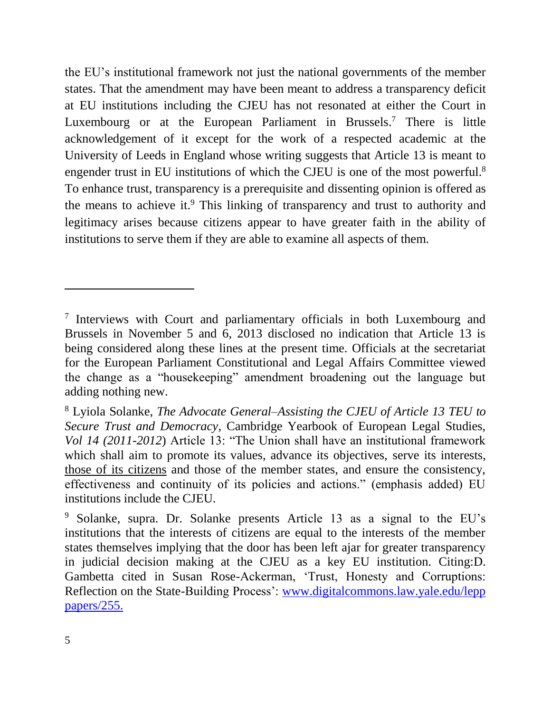the EU's institutional framework not just the national governments of the member states. That the amendment may have been meant to address a transparency deficit at EU institutions including the CJEU has not resonated at either the Court in Luxembourg or at the European Parliament in Brussels.<sup>7</sup> There is little acknowledgement of it except for the work of a respected academic at the University of Leeds in England whose writing suggests that Article 13 is meant to engender trust in EU institutions of which the CJEU is one of the most powerful.<sup>8</sup> To enhance trust, transparency is a prerequisite and dissenting opinion is offered as the means to achieve it. <sup>9</sup> This linking of transparency and trust to authority and legitimacy arises because citizens appear to have greater faith in the ability of institutions to serve them if they are able to examine all aspects of them.

<sup>&</sup>lt;sup>7</sup> Interviews with Court and parliamentary officials in both Luxembourg and Brussels in November 5 and 6, 2013 disclosed no indication that Article 13 is being considered along these lines at the present time. Officials at the secretariat for the European Parliament Constitutional and Legal Affairs Committee viewed the change as a "housekeeping" amendment broadening out the language but adding nothing new.

<sup>8</sup> Lyiola Solanke, *The Advocate General–Assisting the CJEU of Article 13 TEU to Secure Trust and Democracy*, Cambridge Yearbook of European Legal Studies, *Vol 14 (2011-2012*) Article 13: "The Union shall have an institutional framework which shall aim to promote its values, advance its objectives, serve its interests, those of its citizens and those of the member states, and ensure the consistency, effectiveness and continuity of its policies and actions." (emphasis added) EU institutions include the CJEU.

<sup>9</sup> Solanke, supra. Dr. Solanke presents Article 13 as a signal to the EU's institutions that the interests of citizens are equal to the interests of the member states themselves implying that the door has been left ajar for greater transparency in judicial decision making at the CJEU as a key EU institution. Citing:D. Gambetta cited in Susan Rose-Ackerman, 'Trust, Honesty and Corruptions: Reflection on the State-Building Process': [www.digitalcommons.law.yale.edu/lepp](http://www.digitalcommons.law.yale.edu/lepp%20papers/255)  [papers/255.](http://www.digitalcommons.law.yale.edu/lepp%20papers/255)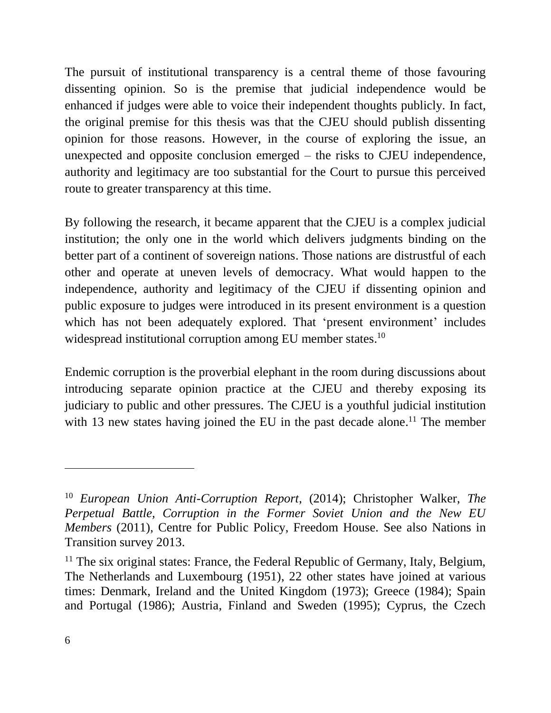The pursuit of institutional transparency is a central theme of those favouring dissenting opinion. So is the premise that judicial independence would be enhanced if judges were able to voice their independent thoughts publicly. In fact, the original premise for this thesis was that the CJEU should publish dissenting opinion for those reasons. However, in the course of exploring the issue, an unexpected and opposite conclusion emerged – the risks to CJEU independence, authority and legitimacy are too substantial for the Court to pursue this perceived route to greater transparency at this time.

By following the research, it became apparent that the CJEU is a complex judicial institution; the only one in the world which delivers judgments binding on the better part of a continent of sovereign nations. Those nations are distrustful of each other and operate at uneven levels of democracy. What would happen to the independence, authority and legitimacy of the CJEU if dissenting opinion and public exposure to judges were introduced in its present environment is a question which has not been adequately explored. That 'present environment' includes widespread institutional corruption among EU member states.<sup>10</sup>

Endemic corruption is the proverbial elephant in the room during discussions about introducing separate opinion practice at the CJEU and thereby exposing its judiciary to public and other pressures. The CJEU is a youthful judicial institution with 13 new states having joined the EU in the past decade alone.<sup>11</sup> The member

<sup>10</sup> *European Union Anti-Corruption Report*, (2014); Christopher Walker, *The Perpetual Battle, Corruption in the Former Soviet Union and the New EU Members* (2011), Centre for Public Policy, Freedom House. See also Nations in Transition survey 2013.

 $11$  The six original states: France, the Federal Republic of Germany, Italy, Belgium, The Netherlands and Luxembourg (1951), 22 other states have joined at various times: Denmark, Ireland and the United Kingdom (1973); Greece (1984); Spain and Portugal (1986); Austria, Finland and Sweden (1995); Cyprus, the Czech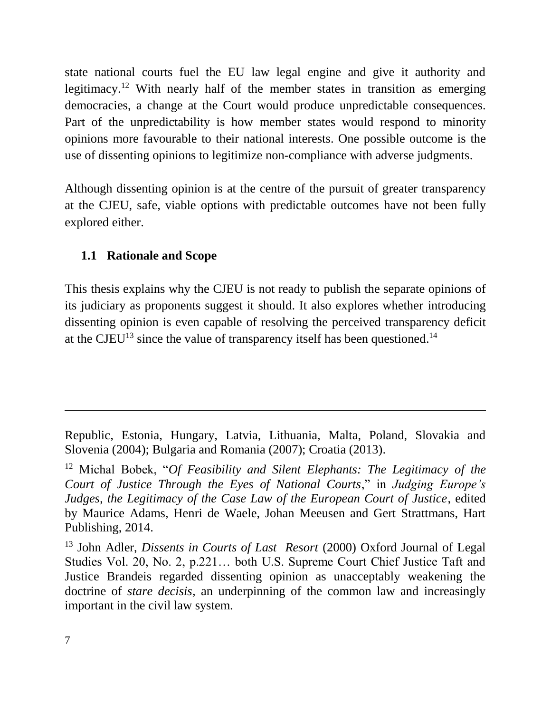state national courts fuel the EU law legal engine and give it authority and legitimacy.<sup>12</sup> With nearly half of the member states in transition as emerging democracies, a change at the Court would produce unpredictable consequences. Part of the unpredictability is how member states would respond to minority opinions more favourable to their national interests. One possible outcome is the use of dissenting opinions to legitimize non-compliance with adverse judgments.

Although dissenting opinion is at the centre of the pursuit of greater transparency at the CJEU, safe, viable options with predictable outcomes have not been fully explored either.

## <span id="page-6-0"></span>**1.1 Rationale and Scope**

This thesis explains why the CJEU is not ready to publish the separate opinions of its judiciary as proponents suggest it should. It also explores whether introducing dissenting opinion is even capable of resolving the perceived transparency deficit at the CJEU<sup>13</sup> since the value of transparency itself has been questioned.<sup>14</sup>

Republic, Estonia, Hungary, Latvia, Lithuania, Malta, Poland, Slovakia and Slovenia (2004); Bulgaria and Romania (2007); Croatia (2013).

<sup>12</sup> Michal Bobek, "*Of Feasibility and Silent Elephants: The Legitimacy of the Court of Justice Through the Eyes of National Courts*," in *Judging Europe's Judges, the Legitimacy of the Case Law of the European Court of Justice*, edited by Maurice Adams, Henri de Waele, Johan Meeusen and Gert Strattmans, Hart Publishing, 2014.

<sup>13</sup> John Adler, *Dissents in Courts of Last Resort* (2000) Oxford Journal of Legal Studies Vol. 20, No. 2, p.221… both U.S. Supreme Court Chief Justice Taft and Justice Brandeis regarded dissenting opinion as unacceptably weakening the doctrine of *stare decisis,* an underpinning of the common law and increasingly important in the civil law system.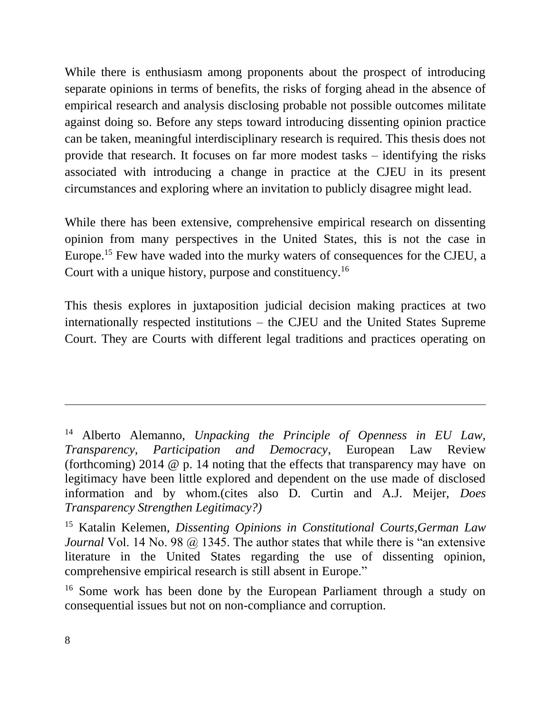While there is enthusiasm among proponents about the prospect of introducing separate opinions in terms of benefits, the risks of forging ahead in the absence of empirical research and analysis disclosing probable not possible outcomes militate against doing so. Before any steps toward introducing dissenting opinion practice can be taken, meaningful interdisciplinary research is required. This thesis does not provide that research. It focuses on far more modest tasks – identifying the risks associated with introducing a change in practice at the CJEU in its present circumstances and exploring where an invitation to publicly disagree might lead.

While there has been extensive, comprehensive empirical research on dissenting opinion from many perspectives in the United States, this is not the case in Europe. <sup>15</sup> Few have waded into the murky waters of consequences for the CJEU, a Court with a unique history, purpose and constituency.<sup>16</sup>

This thesis explores in juxtaposition judicial decision making practices at two internationally respected institutions – the CJEU and the United States Supreme Court. They are Courts with different legal traditions and practices operating on

<sup>14</sup> Alberto Alemanno, *Unpacking the Principle of Openness in EU Law, Transparency, Participation and Democracy*, European Law Review (forthcoming) 2014 @ p. 14 noting that the effects that transparency may have on legitimacy have been little explored and dependent on the use made of disclosed information and by whom.(cites also D. Curtin and A.J. Meijer, *Does Transparency Strengthen Legitimacy?)*

<sup>15</sup> Katalin Kelemen, *Dissenting Opinions in Constitutional Courts,German Law Journal* Vol. 14 No. 98 @ 1345. The author states that while there is "an extensive" literature in the United States regarding the use of dissenting opinion, comprehensive empirical research is still absent in Europe."

<sup>&</sup>lt;sup>16</sup> Some work has been done by the European Parliament through a study on consequential issues but not on non-compliance and corruption.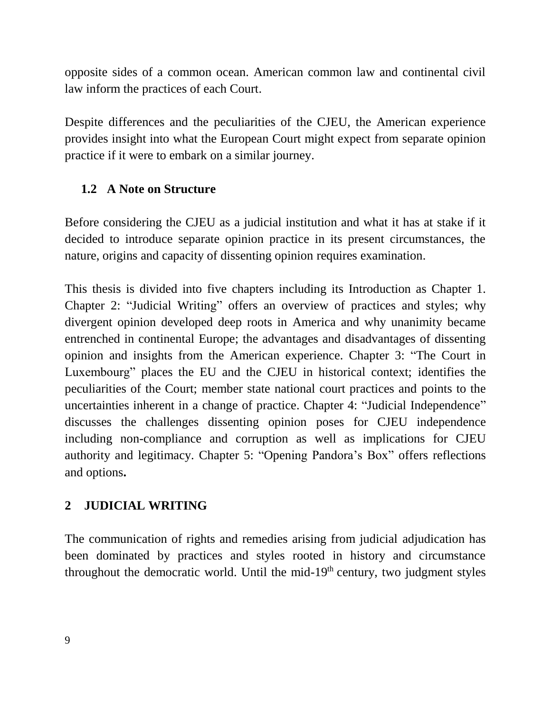opposite sides of a common ocean. American common law and continental civil law inform the practices of each Court.

Despite differences and the peculiarities of the CJEU, the American experience provides insight into what the European Court might expect from separate opinion practice if it were to embark on a similar journey.

## <span id="page-8-0"></span>**1.2 A Note on Structure**

Before considering the CJEU as a judicial institution and what it has at stake if it decided to introduce separate opinion practice in its present circumstances, the nature, origins and capacity of dissenting opinion requires examination.

This thesis is divided into five chapters including its Introduction as Chapter 1. Chapter 2: "Judicial Writing" offers an overview of practices and styles; why divergent opinion developed deep roots in America and why unanimity became entrenched in continental Europe; the advantages and disadvantages of dissenting opinion and insights from the American experience. Chapter 3: "The Court in Luxembourg" places the EU and the CJEU in historical context; identifies the peculiarities of the Court; member state national court practices and points to the uncertainties inherent in a change of practice. Chapter 4: "Judicial Independence" discusses the challenges dissenting opinion poses for CJEU independence including non-compliance and corruption as well as implications for CJEU authority and legitimacy. Chapter 5: "Opening Pandora's Box" offers reflections and options**.**

# <span id="page-8-1"></span>**2 JUDICIAL WRITING**

The communication of rights and remedies arising from judicial adjudication has been dominated by practices and styles rooted in history and circumstance throughout the democratic world. Until the mid- $19<sup>th</sup>$  century, two judgment styles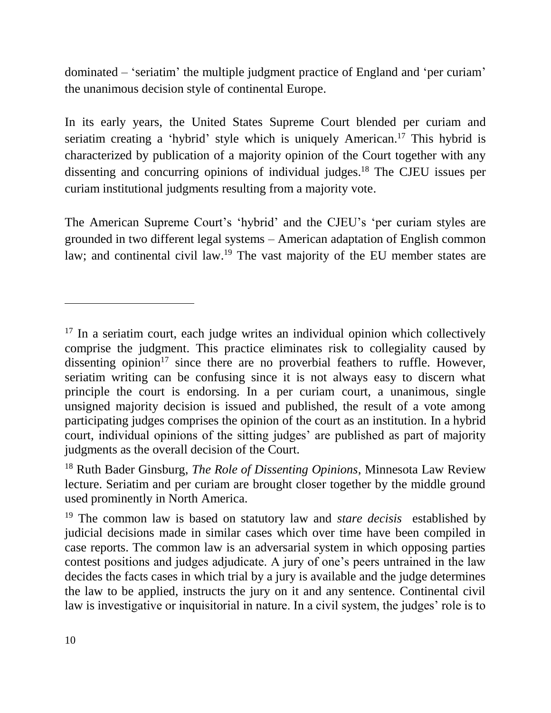dominated – 'seriatim' the multiple judgment practice of England and 'per curiam' the unanimous decision style of continental Europe.

In its early years, the United States Supreme Court blended per curiam and seriatim creating a 'hybrid' style which is uniquely American. <sup>17</sup> This hybrid is characterized by publication of a majority opinion of the Court together with any dissenting and concurring opinions of individual judges. <sup>18</sup> The CJEU issues per curiam institutional judgments resulting from a majority vote.

The American Supreme Court's 'hybrid' and the CJEU's 'per curiam styles are grounded in two different legal systems – American adaptation of English common law; and continental civil law.<sup>19</sup> The vast majority of the EU member states are

<sup>&</sup>lt;sup>17</sup> In a seriatim court, each judge writes an individual opinion which collectively comprise the judgment. This practice eliminates risk to collegiality caused by dissenting opinion<sup>17</sup> since there are no proverbial feathers to ruffle. However, seriatim writing can be confusing since it is not always easy to discern what principle the court is endorsing. In a per curiam court, a unanimous, single unsigned majority decision is issued and published, the result of a vote among participating judges comprises the opinion of the court as an institution. In a hybrid court, individual opinions of the sitting judges' are published as part of majority judgments as the overall decision of the Court.

<sup>18</sup> Ruth Bader Ginsburg, *The Role of Dissenting Opinions*, Minnesota Law Review lecture. Seriatim and per curiam are brought closer together by the middle ground used prominently in North America.

<sup>19</sup> The common law is based on statutory law and *stare decisis* established by judicial decisions made in similar cases which over time have been compiled in case reports. The common law is an adversarial system in which opposing parties contest positions and judges adjudicate. A jury of one's peers untrained in the law decides the facts cases in which trial by a jury is available and the judge determines the law to be applied, instructs the jury on it and any sentence. Continental civil law is investigative or inquisitorial in nature. In a civil system, the judges' role is to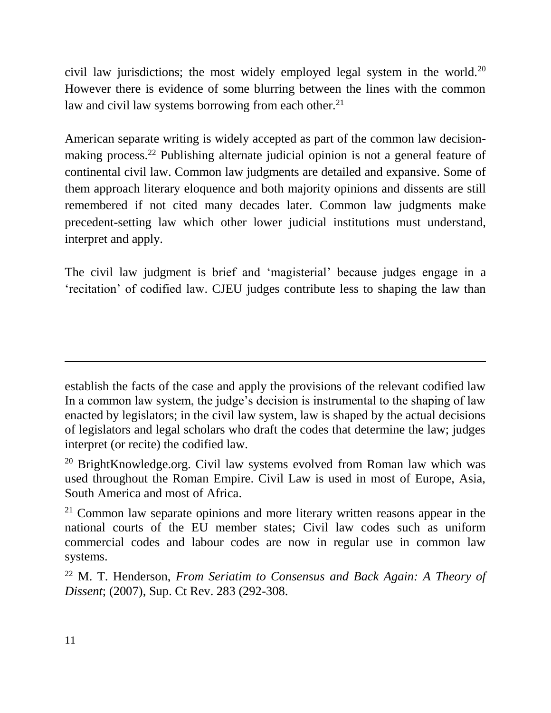civil law jurisdictions; the most widely employed legal system in the world.<sup>20</sup> However there is evidence of some blurring between the lines with the common law and civil law systems borrowing from each other.<sup>21</sup>

American separate writing is widely accepted as part of the common law decisionmaking process.<sup>22</sup> Publishing alternate judicial opinion is not a general feature of continental civil law. Common law judgments are detailed and expansive. Some of them approach literary eloquence and both majority opinions and dissents are still remembered if not cited many decades later. Common law judgments make precedent-setting law which other lower judicial institutions must understand, interpret and apply.

The civil law judgment is brief and 'magisterial' because judges engage in a 'recitation' of codified law. CJEU judges contribute less to shaping the law than

establish the facts of the case and apply the provisions of the relevant codified law In a common law system, the judge's decision is instrumental to the shaping of law enacted by legislators; in the civil law system, law is shaped by the actual decisions of legislators and legal scholars who draft the codes that determine the law; judges interpret (or recite) the codified law.

<sup>&</sup>lt;sup>20</sup> BrightKnowledge.org. Civil law systems evolved from Roman law which was used throughout the Roman Empire. Civil Law is used in most of Europe, Asia, South America and most of Africa.

<sup>&</sup>lt;sup>21</sup> Common law separate opinions and more literary written reasons appear in the national courts of the EU member states; Civil law codes such as uniform commercial codes and labour codes are now in regular use in common law systems.

<sup>22</sup> M. T. Henderson, *From Seriatim to Consensus and Back Again: A Theory of Dissent*; (2007), Sup. Ct Rev. 283 (292-308.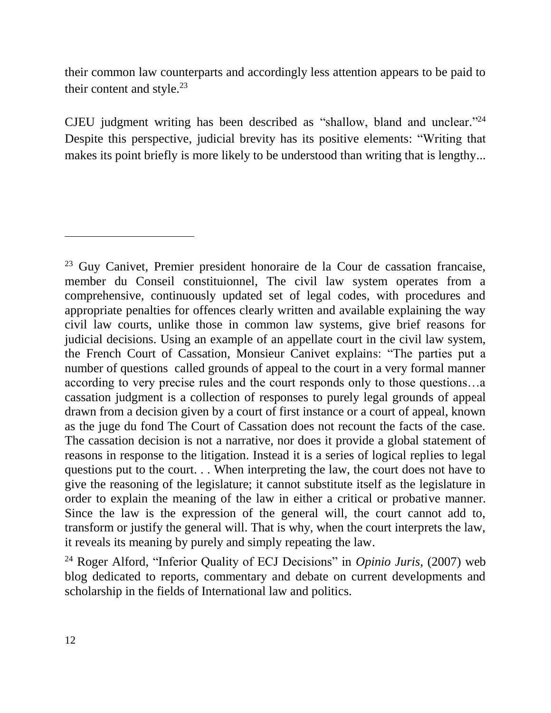their common law counterparts and accordingly less attention appears to be paid to their content and style.<sup>23</sup>

CJEU judgment writing has been described as "shallow, bland and unclear." 24 Despite this perspective, judicial brevity has its positive elements: "Writing that makes its point briefly is more likely to be understood than writing that is lengthy...

<sup>23</sup> Guy Canivet, Premier president honoraire de la Cour de cassation francaise, member du Conseil constituionnel, The civil law system operates from a comprehensive, continuously updated set of legal codes, with procedures and appropriate penalties for offences clearly written and available explaining the way civil law courts, unlike those in common law systems, give brief reasons for judicial decisions. Using an example of an appellate court in the civil law system, the French Court of Cassation, Monsieur Canivet explains: "The parties put a number of questions called grounds of appeal to the court in a very formal manner according to very precise rules and the court responds only to those questions…a cassation judgment is a collection of responses to purely legal grounds of appeal drawn from a decision given by a court of first instance or a court of appeal, known as the juge du fond The Court of Cassation does not recount the facts of the case. The cassation decision is not a narrative, nor does it provide a global statement of reasons in response to the litigation. Instead it is a series of logical replies to legal questions put to the court. . . When interpreting the law, the court does not have to give the reasoning of the legislature; it cannot substitute itself as the legislature in order to explain the meaning of the law in either a critical or probative manner. Since the law is the expression of the general will, the court cannot add to, transform or justify the general will. That is why, when the court interprets the law, it reveals its meaning by purely and simply repeating the law.

<sup>24</sup> Roger Alford, "Inferior Quality of ECJ Decisions" in *Opinio Juris*, (2007) web blog dedicated to reports, commentary and debate on current developments and scholarship in the fields of International law and politics.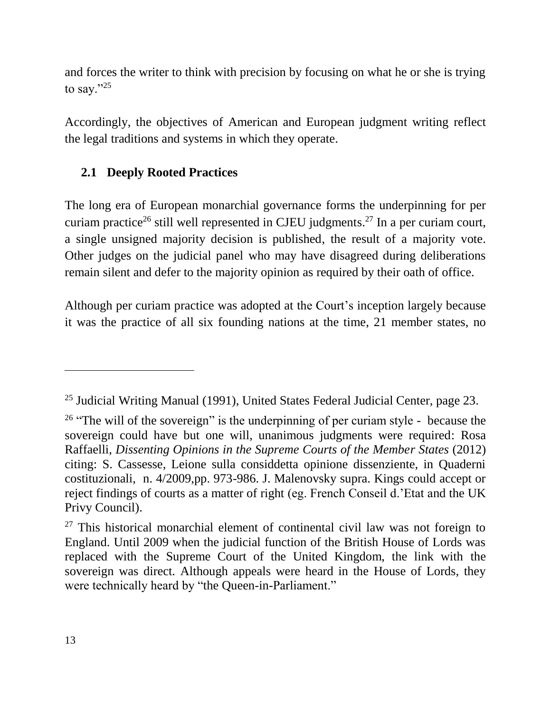and forces the writer to think with precision by focusing on what he or she is trying to say."25

Accordingly, the objectives of American and European judgment writing reflect the legal traditions and systems in which they operate.

# <span id="page-12-0"></span>**2.1 Deeply Rooted Practices**

The long era of European monarchial governance forms the underpinning for per curiam practice<sup>26</sup> still well represented in CJEU judgments.<sup>27</sup> In a per curiam court, a single unsigned majority decision is published, the result of a majority vote. Other judges on the judicial panel who may have disagreed during deliberations remain silent and defer to the majority opinion as required by their oath of office.

Although per curiam practice was adopted at the Court's inception largely because it was the practice of all six founding nations at the time, 21 member states, no

<sup>&</sup>lt;sup>25</sup> Judicial Writing Manual (1991), United States Federal Judicial Center, page 23.

<sup>&</sup>lt;sup>26</sup> "The will of the sovereign" is the underpinning of per curiam style - because the sovereign could have but one will, unanimous judgments were required: Rosa Raffaelli, *Dissenting Opinions in the Supreme Courts of the Member States* (2012) citing: S. Cassesse, Leione sulla considdetta opinione dissenziente, in Quaderni costituzionali, n. 4/2009,pp. 973-986. J. Malenovsky supra. Kings could accept or reject findings of courts as a matter of right (eg. French Conseil d.'Etat and the UK Privy Council).

 $27$  This historical monarchial element of continental civil law was not foreign to England. Until 2009 when the judicial function of the British House of Lords was replaced with the Supreme Court of the United Kingdom, the link with the sovereign was direct. Although appeals were heard in the House of Lords, they were technically heard by "the Queen-in-Parliament."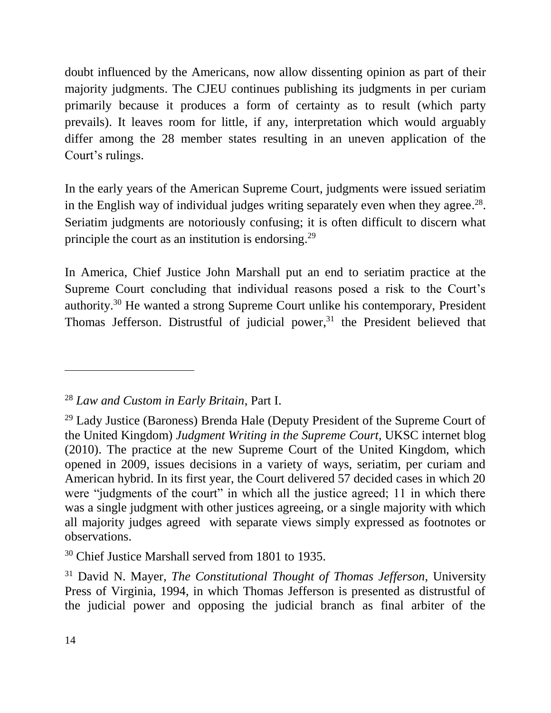doubt influenced by the Americans, now allow dissenting opinion as part of their majority judgments. The CJEU continues publishing its judgments in per curiam primarily because it produces a form of certainty as to result (which party prevails). It leaves room for little, if any, interpretation which would arguably differ among the 28 member states resulting in an uneven application of the Court's rulings.

In the early years of the American Supreme Court, judgments were issued seriatim in the English way of individual judges writing separately even when they agree.<sup>28</sup>. Seriatim judgments are notoriously confusing; it is often difficult to discern what principle the court as an institution is endorsing.<sup>29</sup>

In America, Chief Justice John Marshall put an end to seriatim practice at the Supreme Court concluding that individual reasons posed a risk to the Court's authority.<sup>30</sup> He wanted a strong Supreme Court unlike his contemporary, President Thomas Jefferson. Distrustful of judicial power,<sup>31</sup> the President believed that

<sup>28</sup> *Law and Custom in Early Britain*, Part I.

<sup>29</sup> Lady Justice (Baroness) Brenda Hale (Deputy President of the Supreme Court of the United Kingdom) *Judgment Writing in the Supreme Court,* UKSC internet blog (2010). The practice at the new Supreme Court of the United Kingdom, which opened in 2009, issues decisions in a variety of ways, seriatim, per curiam and American hybrid. In its first year, the Court delivered 57 decided cases in which 20 were "judgments of the court" in which all the justice agreed; 11 in which there was a single judgment with other justices agreeing, or a single majority with which all majority judges agreed with separate views simply expressed as footnotes or observations.

 $30$  Chief Justice Marshall served from 1801 to 1935.

<sup>31</sup> David N. Mayer, *The Constitutional Thought of Thomas Jefferson*, University Press of Virginia, 1994, in which Thomas Jefferson is presented as distrustful of the judicial power and opposing the judicial branch as final arbiter of the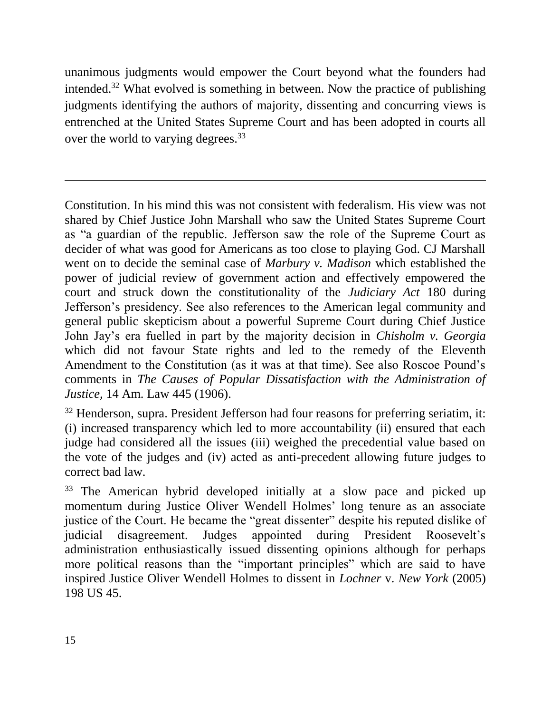unanimous judgments would empower the Court beyond what the founders had intended.<sup>32</sup> What evolved is something in between. Now the practice of publishing judgments identifying the authors of majority, dissenting and concurring views is entrenched at the United States Supreme Court and has been adopted in courts all over the world to varying degrees.<sup>33</sup>

Constitution. In his mind this was not consistent with federalism. His view was not shared by Chief Justice John Marshall who saw the United States Supreme Court as "a guardian of the republic. Jefferson saw the role of the Supreme Court as decider of what was good for Americans as too close to playing God. CJ Marshall went on to decide the seminal case of *Marbury v. Madison* which established the power of judicial review of government action and effectively empowered the court and struck down the constitutionality of the *Judiciary Act* 180 during Jefferson's presidency. See also references to the American legal community and general public skepticism about a powerful Supreme Court during Chief Justice John Jay's era fuelled in part by the majority decision in *Chisholm v. Georgia* which did not favour State rights and led to the remedy of the Eleventh Amendment to the Constitution (as it was at that time). See also Roscoe Pound's comments in *The Causes of Popular Dissatisfaction with the Administration of Justice,* 14 Am. Law 445 (1906).

 $32$  Henderson, supra. President Jefferson had four reasons for preferring seriatim, it: (i) increased transparency which led to more accountability (ii) ensured that each judge had considered all the issues (iii) weighed the precedential value based on the vote of the judges and (iv) acted as anti-precedent allowing future judges to correct bad law.

The American hybrid developed initially at a slow pace and picked up momentum during Justice Oliver Wendell Holmes' long tenure as an associate justice of the Court. He became the "great dissenter" despite his reputed dislike of judicial disagreement. Judges appointed during President Roosevelt's administration enthusiastically issued dissenting opinions although for perhaps more political reasons than the "important principles" which are said to have inspired Justice Oliver Wendell Holmes to dissent in *Lochner* v. *New York* (2005) 198 US 45.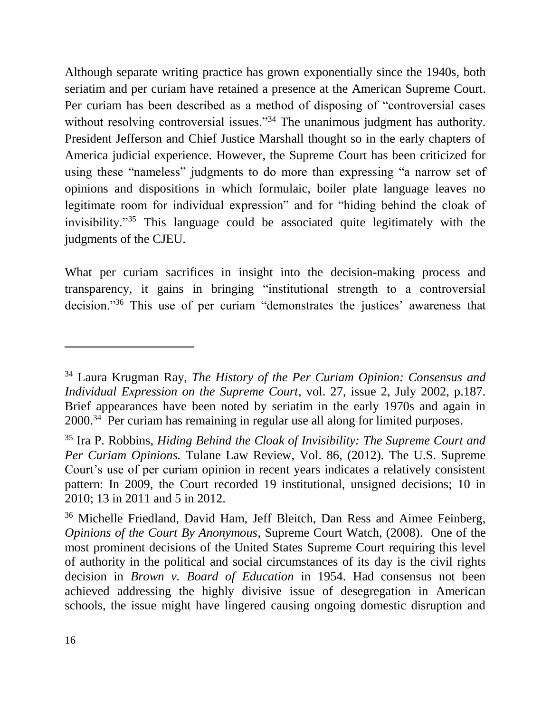Although separate writing practice has grown exponentially since the 1940s, both seriatim and per curiam have retained a presence at the American Supreme Court. Per curiam has been described as a method of disposing of "controversial cases without resolving controversial issues."<sup>34</sup> The unanimous judgment has authority. President Jefferson and Chief Justice Marshall thought so in the early chapters of America judicial experience. However, the Supreme Court has been criticized for using these "nameless" judgments to do more than expressing "a narrow set of opinions and dispositions in which formulaic, boiler plate language leaves no legitimate room for individual expression" and for "hiding behind the cloak of invisibility."<sup>35</sup> This language could be associated quite legitimately with the judgments of the CJEU.

What per curiam sacrifices in insight into the decision-making process and transparency, it gains in bringing "institutional strength to a controversial decision."<sup>36</sup> This use of per curiam "demonstrates the justices' awareness that

<sup>34</sup> Laura Krugman Ray, *The History of the Per Curiam Opinion: Consensus and Individual Expression on the Supreme Court*, vol. 27, issue 2, July 2002, p.187. Brief appearances have been noted by seriatim in the early 1970s and again in 2000.<sup>34</sup> Per curiam has remaining in regular use all along for limited purposes.

<sup>35</sup> Ira P. Robbins, *Hiding Behind the Cloak of Invisibility: The Supreme Court and Per Curiam Opinions.* Tulane Law Review, Vol. 86, (2012). The U.S. Supreme Court's use of per curiam opinion in recent years indicates a relatively consistent pattern: In 2009, the Court recorded 19 institutional, unsigned decisions; 10 in 2010; 13 in 2011 and 5 in 2012.

<sup>36</sup> Michelle Friedland, David Ham, Jeff Bleitch, Dan Ress and Aimee Feinberg, *Opinions of the Court By Anonymous*, Supreme Court Watch, (2008). One of the most prominent decisions of the United States Supreme Court requiring this level of authority in the political and social circumstances of its day is the civil rights decision in *Brown v. Board of Education* in 1954. Had consensus not been achieved addressing the highly divisive issue of desegregation in American schools, the issue might have lingered causing ongoing domestic disruption and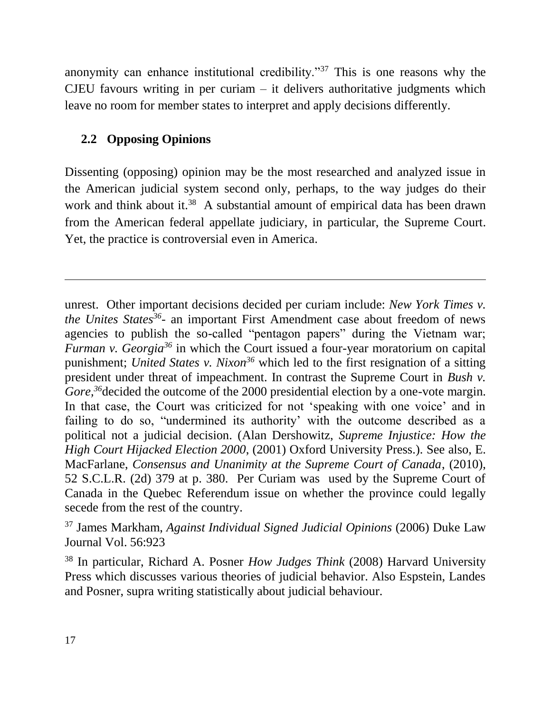anonymity can enhance institutional credibility."<sup>37</sup> This is one reasons why the CJEU favours writing in per curiam  $-$  it delivers authoritative judgments which leave no room for member states to interpret and apply decisions differently.

# <span id="page-16-0"></span>**2.2 Opposing Opinions**

Dissenting (opposing) opinion may be the most researched and analyzed issue in the American judicial system second only, perhaps, to the way judges do their work and think about it.<sup>38</sup> A substantial amount of empirical data has been drawn from the American federal appellate judiciary, in particular, the Supreme Court. Yet, the practice is controversial even in America.

unrest. Other important decisions decided per curiam include: *New York Times v. the Unites States<sup>36</sup>* - an important First Amendment case about freedom of news agencies to publish the so-called "pentagon papers" during the Vietnam war; *Furman v. Georgia<sup>36</sup>* in which the Court issued a four-year moratorium on capital punishment; *United States v. Nixon<sup>36</sup>* which led to the first resignation of a sitting president under threat of impeachment. In contrast the Supreme Court in *Bush v. Gore*,<sup>36</sup>decided the outcome of the 2000 presidential election by a one-vote margin. In that case, the Court was criticized for not 'speaking with one voice' and in failing to do so, "undermined its authority' with the outcome described as a political not a judicial decision. (Alan Dershowitz, *Supreme Injustice: How the High Court Hijacked Election 2000*, (2001) Oxford University Press.). See also, E. MacFarlane, *Consensus and Unanimity at the Supreme Court of Canada*, (2010), 52 S.C.L.R. (2d) 379 at p. 380. Per Curiam was used by the Supreme Court of Canada in the Quebec Referendum issue on whether the province could legally secede from the rest of the country.

<sup>37</sup> James Markham, *Against Individual Signed Judicial Opinions* (2006) Duke Law Journal Vol. 56:923

<sup>38</sup> In particular, Richard A. Posner *How Judges Think* (2008) Harvard University Press which discusses various theories of judicial behavior. Also Espstein, Landes and Posner, supra writing statistically about judicial behaviour.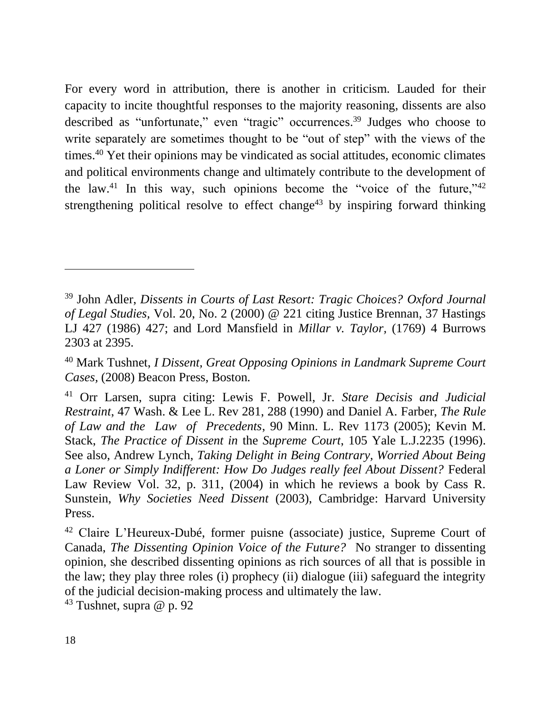For every word in attribution, there is another in criticism. Lauded for their capacity to incite thoughtful responses to the majority reasoning, dissents are also described as "unfortunate," even "tragic" occurrences.<sup>39</sup> Judges who choose to write separately are sometimes thought to be "out of step" with the views of the times.<sup>40</sup> Yet their opinions may be vindicated as social attitudes, economic climates and political environments change and ultimately contribute to the development of the law.<sup>41</sup> In this way, such opinions become the "voice of the future,"  $42$ strengthening political resolve to effect change<sup>43</sup> by inspiring forward thinking

<sup>39</sup> John Adler, *Dissents in Courts of Last Resort: Tragic Choices? Oxford Journal of Legal Studies,* Vol. 20, No. 2 (2000) @ 221 citing Justice Brennan, 37 Hastings LJ 427 (1986) 427; and Lord Mansfield in *Millar v. Taylor,* (1769) 4 Burrows 2303 at 2395.

<sup>40</sup> Mark Tushnet, *I Dissent, Great Opposing Opinions in Landmark Supreme Court Cases,* (2008) Beacon Press, Boston*.*

<sup>41</sup> Orr Larsen, supra citing: Lewis F. Powell, Jr. *Stare Decisis and Judicial Restraint*, 47 Wash. & Lee L. Rev 281, 288 (1990) and Daniel A. Farber, *The Rule of Law and the Law of Precedents*, 90 Minn. L. Rev 1173 (2005); Kevin M. Stack, *The Practice of Dissent in* the *Supreme Court*, 105 Yale L.J.2235 (1996). See also, Andrew Lynch, *Taking Delight in Being Contrary, Worried About Being a Loner or Simply Indifferent: How Do Judges really feel About Dissent?* Federal Law Review Vol. 32, p. 311, (2004) in which he reviews a book by Cass R. Sunstein, *Why Societies Need Dissent* (2003), Cambridge: Harvard University Press.

<sup>42</sup> Claire L'Heureux-Dubé, former puisne (associate) justice, Supreme Court of Canada, *The Dissenting Opinion Voice of the Future?* No stranger to dissenting opinion, she described dissenting opinions as rich sources of all that is possible in the law; they play three roles (i) prophecy (ii) dialogue (iii) safeguard the integrity of the judicial decision-making process and ultimately the law.

 $43$  Tushnet, supra @ p. 92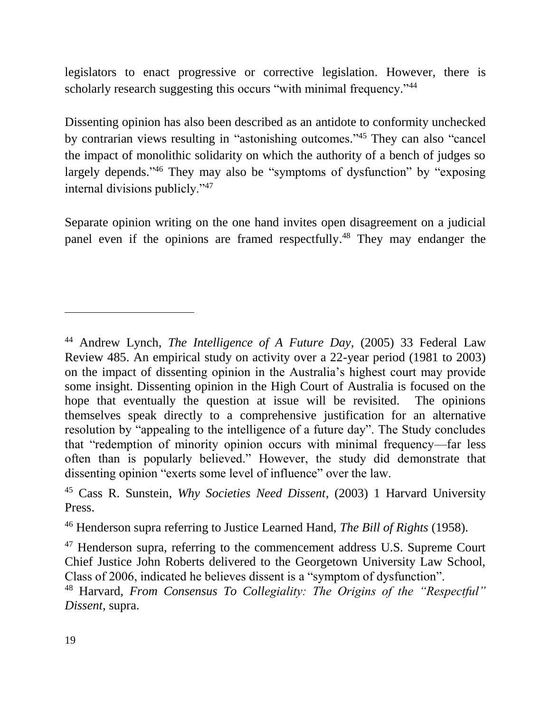legislators to enact progressive or corrective legislation. However, there is scholarly research suggesting this occurs "with minimal frequency."<sup>44</sup>

Dissenting opinion has also been described as an antidote to conformity unchecked by contrarian views resulting in "astonishing outcomes." <sup>45</sup> They can also "cancel the impact of monolithic solidarity on which the authority of a bench of judges so largely depends."<sup>46</sup> They may also be "symptoms of dysfunction" by "exposing internal divisions publicly."<sup>47</sup>

Separate opinion writing on the one hand invites open disagreement on a judicial panel even if the opinions are framed respectfully.<sup>48</sup> They may endanger the

<sup>44</sup> Andrew Lynch, *The Intelligence of A Future Day,* (2005) 33 Federal Law Review 485. An empirical study on activity over a 22-year period (1981 to 2003) on the impact of dissenting opinion in the Australia's highest court may provide some insight. Dissenting opinion in the High Court of Australia is focused on the hope that eventually the question at issue will be revisited. The opinions themselves speak directly to a comprehensive justification for an alternative resolution by "appealing to the intelligence of a future day". The Study concludes that "redemption of minority opinion occurs with minimal frequency—far less often than is popularly believed." However, the study did demonstrate that dissenting opinion "exerts some level of influence" over the law.

<sup>45</sup> Cass R. Sunstein, *Why Societies Need Dissent,* (2003) 1 Harvard University Press.

<sup>46</sup> Henderson supra referring to Justice Learned Hand, *The Bill of Rights* (1958).

 $47$  Henderson supra, referring to the commencement address U.S. Supreme Court Chief Justice John Roberts delivered to the Georgetown University Law School, Class of 2006, indicated he believes dissent is a "symptom of dysfunction".

<sup>48</sup> Harvard, *From Consensus To Collegiality: The Origins of the "Respectful" Dissent*, supra.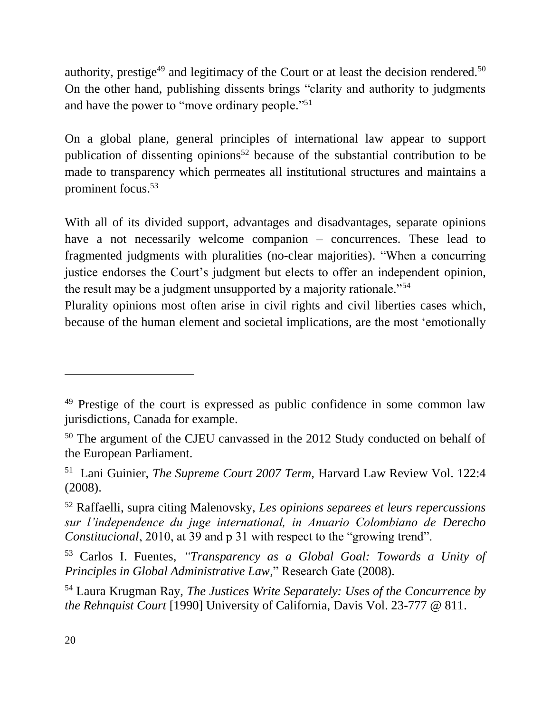authority, prestige<sup>49</sup> and legitimacy of the Court or at least the decision rendered.<sup>50</sup> On the other hand, publishing dissents brings "clarity and authority to judgments and have the power to "move ordinary people."<sup>51</sup>

On a global plane, general principles of international law appear to support publication of dissenting opinions<sup>52</sup> because of the substantial contribution to be made to transparency which permeates all institutional structures and maintains a prominent focus. 53

With all of its divided support, advantages and disadvantages, separate opinions have a not necessarily welcome companion – concurrences. These lead to fragmented judgments with pluralities (no-clear majorities). "When a concurring justice endorses the Court's judgment but elects to offer an independent opinion, the result may be a judgment unsupported by a majority rationale."<sup>54</sup>

Plurality opinions most often arise in civil rights and civil liberties cases which, because of the human element and societal implications, are the most 'emotionally

<sup>&</sup>lt;sup>49</sup> Prestige of the court is expressed as public confidence in some common law jurisdictions, Canada for example.

<sup>50</sup> The argument of the CJEU canvassed in the 2012 Study conducted on behalf of the European Parliament.

<sup>51</sup> Lani Guinier, *The Supreme Court 2007 Term,* Harvard Law Review Vol. 122:4 (2008).

<sup>52</sup> Raffaelli, supra citing Malenovsky, *Les opinions separees et leurs repercussions sur l'independence du juge international, in Anuario Colombiano de Derecho Constitucional*, 2010, at 39 and p 31 with respect to the "growing trend".

<sup>53</sup> Carlos I. Fuentes, *"Transparency as a Global Goal: Towards a Unity of Principles in Global Administrative Law,*" Research Gate (2008).

<sup>54</sup> Laura Krugman Ray, *The Justices Write Separately: Uses of the Concurrence by the Rehnquist Court* [1990] University of California, Davis Vol. 23-777 @ 811.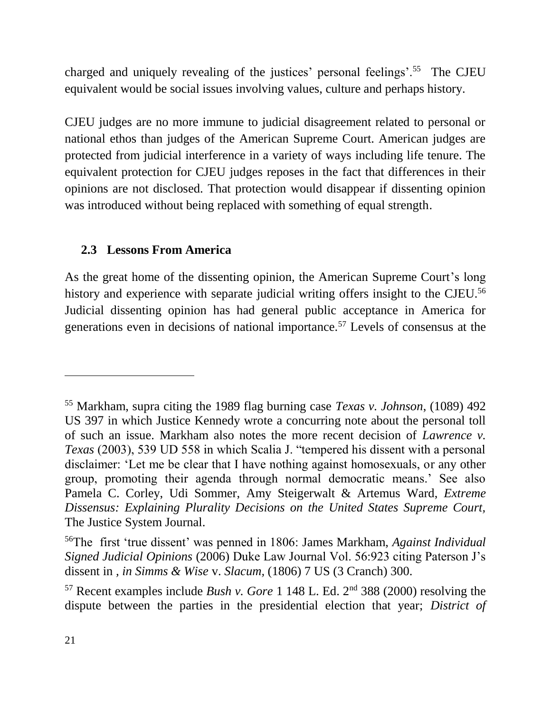charged and uniquely revealing of the justices' personal feelings'.<sup>55</sup> The CJEU equivalent would be social issues involving values, culture and perhaps history.

CJEU judges are no more immune to judicial disagreement related to personal or national ethos than judges of the American Supreme Court. American judges are protected from judicial interference in a variety of ways including life tenure. The equivalent protection for CJEU judges reposes in the fact that differences in their opinions are not disclosed. That protection would disappear if dissenting opinion was introduced without being replaced with something of equal strength.

#### <span id="page-20-0"></span>**2.3 Lessons From America**

As the great home of the dissenting opinion, the American Supreme Court's long history and experience with separate judicial writing offers insight to the CJEU.<sup>56</sup> Judicial dissenting opinion has had general public acceptance in America for generations even in decisions of national importance.<sup>57</sup> Levels of consensus at the

<sup>55</sup> Markham, supra citing the 1989 flag burning case *Texas v. Johnson*, (1089) 492 US 397 in which Justice Kennedy wrote a concurring note about the personal toll of such an issue. Markham also notes the more recent decision of *Lawrence v. Texas* (2003), 539 UD 558 in which Scalia J. "tempered his dissent with a personal disclaimer: 'Let me be clear that I have nothing against homosexuals, or any other group, promoting their agenda through normal democratic means.' See also Pamela C. Corley, Udi Sommer, Amy Steigerwalt & Artemus Ward, *Extreme Dissensus: Explaining Plurality Decisions on the United States Supreme Court,*  The Justice System Journal.

<sup>56</sup>The first 'true dissent' was penned in 1806: James Markham, *Against Individual Signed Judicial Opinions* (2006) Duke Law Journal Vol. 56:923 citing Paterson J's dissent in *, in Simms & Wise* v. *Slacum,* (1806) 7 US (3 Cranch) 300.

 $57$  Recent examples include *Bush v. Gore* 1 148 L. Ed.  $2<sup>nd</sup>$  388 (2000) resolving the dispute between the parties in the presidential election that year; *District of*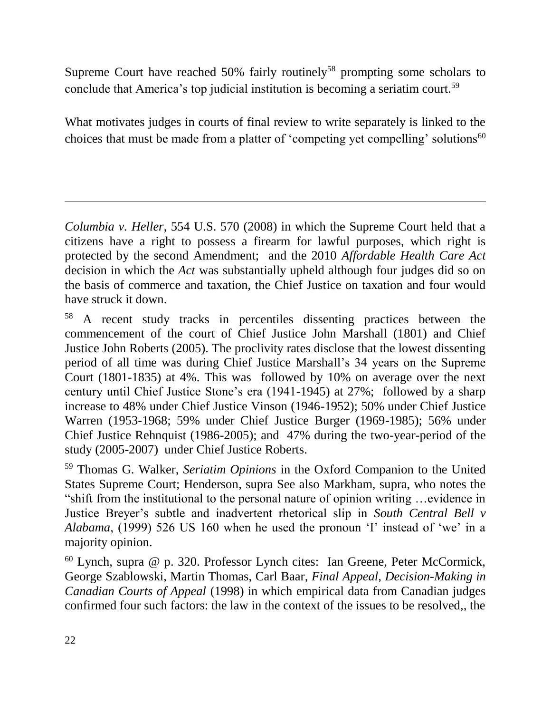Supreme Court have reached  $50\%$  fairly routinely<sup>58</sup> prompting some scholars to conclude that America's top judicial institution is becoming a seriatim court.<sup>59</sup>

What motivates judges in courts of final review to write separately is linked to the choices that must be made from a platter of 'competing yet compelling' solutions<sup>60</sup>

*Columbia v. Heller*, 554 U.S. 570 (2008) in which the Supreme Court held that a citizens have a right to possess a firearm for lawful purposes, which right is protected by the second Amendment; and the 2010 *Affordable Health Care Act* decision in which the *Act* was substantially upheld although four judges did so on the basis of commerce and taxation, the Chief Justice on taxation and four would have struck it down.

<sup>58</sup> A recent study tracks in percentiles dissenting practices between the commencement of the court of Chief Justice John Marshall (1801) and Chief Justice John Roberts (2005). The proclivity rates disclose that the lowest dissenting period of all time was during Chief Justice Marshall's 34 years on the Supreme Court (1801-1835) at 4%. This was followed by 10% on average over the next century until Chief Justice Stone's era (1941-1945) at 27%; followed by a sharp increase to 48% under Chief Justice Vinson (1946-1952); 50% under Chief Justice Warren (1953-1968; 59% under Chief Justice Burger (1969-1985); 56% under Chief Justice Rehnquist (1986-2005); and 47% during the two-year-period of the study (2005-2007) under Chief Justice Roberts.

<sup>59</sup> Thomas G. Walker, *Seriatim Opinions* in the Oxford Companion to the United States Supreme Court; Henderson*,* supra See also Markham, supra, who notes the "shift from the institutional to the personal nature of opinion writing …evidence in Justice Breyer's subtle and inadvertent rhetorical slip in *South Central Bell v Alabama*, (1999) 526 US 160 when he used the pronoun 'I' instead of 'we' in a majority opinion.

 $60$  Lynch, supra  $@$  p. 320. Professor Lynch cites: Ian Greene, Peter McCormick, George Szablowski, Martin Thomas, Carl Baar*, Final Appeal, Decision-Making in Canadian Courts of Appeal* (1998) in which empirical data from Canadian judges confirmed four such factors: the law in the context of the issues to be resolved,, the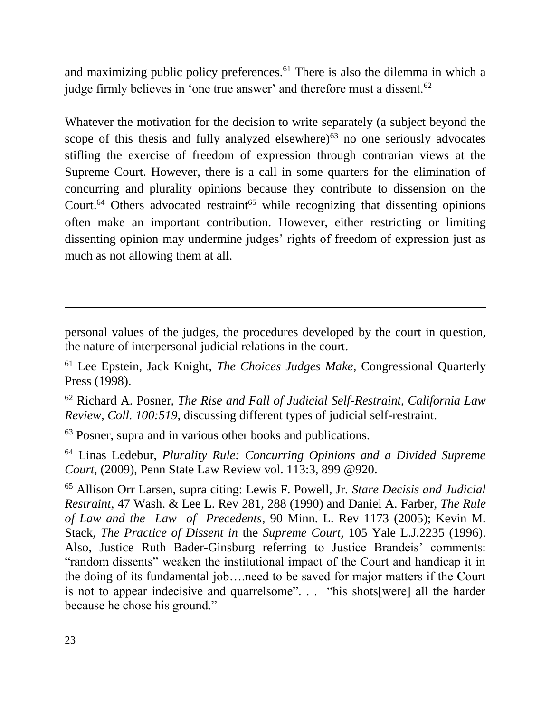and maximizing public policy preferences.<sup>61</sup> There is also the dilemma in which a judge firmly believes in 'one true answer' and therefore must a dissent.<sup>62</sup>

Whatever the motivation for the decision to write separately (a subject beyond the scope of this thesis and fully analyzed elsewhere) $63$  no one seriously advocates stifling the exercise of freedom of expression through contrarian views at the Supreme Court. However, there is a call in some quarters for the elimination of concurring and plurality opinions because they contribute to dissension on the Court.<sup>64</sup> Others advocated restraint<sup>65</sup> while recognizing that dissenting opinions often make an important contribution. However, either restricting or limiting dissenting opinion may undermine judges' rights of freedom of expression just as much as not allowing them at all.

personal values of the judges, the procedures developed by the court in question, the nature of interpersonal judicial relations in the court.

<sup>61</sup> Lee Epstein, Jack Knight, *The Choices Judges Make*, Congressional Quarterly Press (1998).

<sup>62</sup> Richard A. Posner, *The Rise and Fall of Judicial Self-Restraint, California Law Review, Coll. 100:519,* discussing different types of judicial self-restraint.

<sup>63</sup> Posner, supra and in various other books and publications.

<sup>64</sup> Linas Ledebur, *Plurality Rule: Concurring Opinions and a Divided Supreme Court*, (2009), Penn State Law Review vol. 113:3, 899 @920.

<sup>65</sup> Allison Orr Larsen, supra citing: Lewis F. Powell, Jr. *Stare Decisis and Judicial Restraint*, 47 Wash. & Lee L. Rev 281, 288 (1990) and Daniel A. Farber, *The Rule of Law and the Law of Precedents*, 90 Minn. L. Rev 1173 (2005); Kevin M. Stack, *The Practice of Dissent in* the *Supreme Court*, 105 Yale L.J.2235 (1996). Also, Justice Ruth Bader-Ginsburg referring to Justice Brandeis' comments: "random dissents" weaken the institutional impact of the Court and handicap it in the doing of its fundamental job….need to be saved for major matters if the Court is not to appear indecisive and quarrelsome". . . "his shots[were] all the harder because he chose his ground."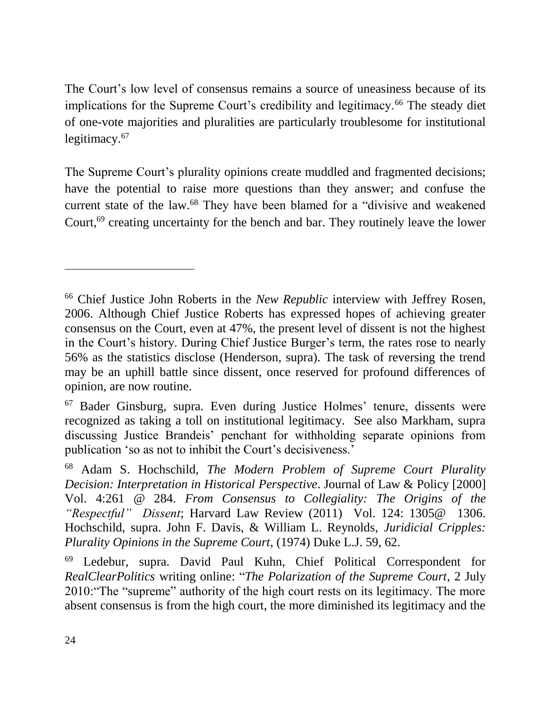The Court's low level of consensus remains a source of uneasiness because of its implications for the Supreme Court's credibility and legitimacy.<sup>66</sup> The steady diet of one-vote majorities and pluralities are particularly troublesome for institutional legitimacy.<sup>67</sup>

The Supreme Court's plurality opinions create muddled and fragmented decisions; have the potential to raise more questions than they answer; and confuse the current state of the law.<sup>68</sup> They have been blamed for a "divisive and weakened" Court,<sup>69</sup> creating uncertainty for the bench and bar. They routinely leave the lower

<sup>66</sup> Chief Justice John Roberts in the *New Republic* interview with Jeffrey Rosen, 2006. Although Chief Justice Roberts has expressed hopes of achieving greater consensus on the Court, even at 47%, the present level of dissent is not the highest in the Court's history. During Chief Justice Burger's term, the rates rose to nearly 56% as the statistics disclose (Henderson, supra). The task of reversing the trend may be an uphill battle since dissent, once reserved for profound differences of opinion, are now routine.

<sup>67</sup> Bader Ginsburg, supra. Even during Justice Holmes' tenure, dissents were recognized as taking a toll on institutional legitimacy. See also Markham, supra discussing Justice Brandeis' penchant for withholding separate opinions from publication 'so as not to inhibit the Court's decisiveness.'

<sup>68</sup> Adam S. Hochschild, *The Modern Problem of Supreme Court Plurality Decision: Interpretation in Historical Perspective*. Journal of Law & Policy [2000] Vol. 4:261 @ 284. *From Consensus to Collegiality: The Origins of the "Respectful" Dissent*; Harvard Law Review (2011) Vol. 124: 1305@ 1306. Hochschild, supra. John F. Davis, & William L. Reynolds, *Juridicial Cripples: Plurality Opinions in the Supreme Court*, (1974) Duke L.J. 59, 62.

<sup>69</sup> Ledebur, supra. David Paul Kuhn, Chief Political Correspondent for *RealClearPolitics* writing online: "*The Polarization of the Supreme Court*, 2 July 2010:"The "supreme" authority of the high court rests on its legitimacy. The more absent consensus is from the high court, the more diminished its legitimacy and the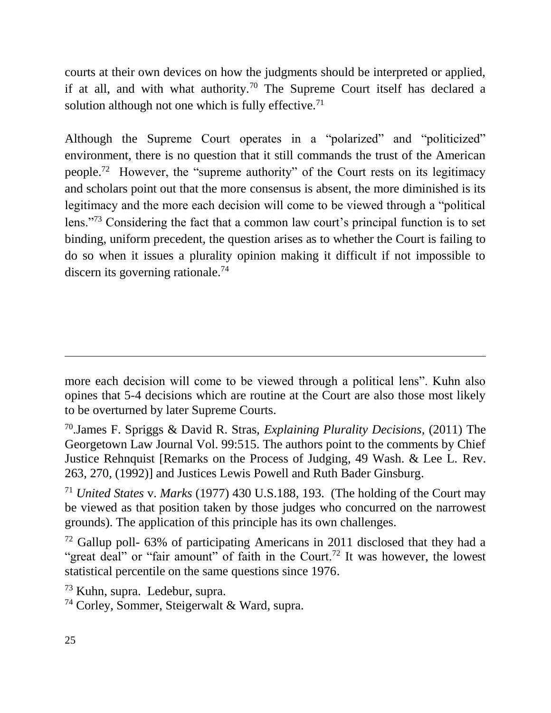courts at their own devices on how the judgments should be interpreted or applied, if at all, and with what authority.<sup>70</sup> The Supreme Court itself has declared a solution although not one which is fully effective.<sup>71</sup>

Although the Supreme Court operates in a "polarized" and "politicized" environment, there is no question that it still commands the trust of the American people.<sup>72</sup> However, the "supreme authority" of the Court rests on its legitimacy and scholars point out that the more consensus is absent, the more diminished is its legitimacy and the more each decision will come to be viewed through a "political lens."<sup>73</sup> Considering the fact that a common law court's principal function is to set binding, uniform precedent, the question arises as to whether the Court is failing to do so when it issues a plurality opinion making it difficult if not impossible to discern its governing rationale.<sup>74</sup>

more each decision will come to be viewed through a political lens". Kuhn also opines that 5-4 decisions which are routine at the Court are also those most likely to be overturned by later Supreme Courts.

<sup>70</sup>.James F. Spriggs & David R. Stras, *Explaining Plurality Decisions,* (2011) The Georgetown Law Journal Vol. 99:515. The authors point to the comments by Chief Justice Rehnquist [Remarks on the Process of Judging, 49 Wash. & Lee L. Rev. 263, 270, (1992)] and Justices Lewis Powell and Ruth Bader Ginsburg.

<sup>71</sup> *United States* v. *Marks* (1977) 430 U.S.188, 193. (The holding of the Court may be viewed as that position taken by those judges who concurred on the narrowest grounds). The application of this principle has its own challenges.

 $72$  Gallup poll- 63% of participating Americans in 2011 disclosed that they had a "great deal" or "fair amount" of faith in the Court.<sup>72</sup> It was however, the lowest statistical percentile on the same questions since 1976.

<sup>73</sup> Kuhn, supra. Ledebur, supra.

<sup>74</sup> Corley, Sommer, Steigerwalt & Ward, supra.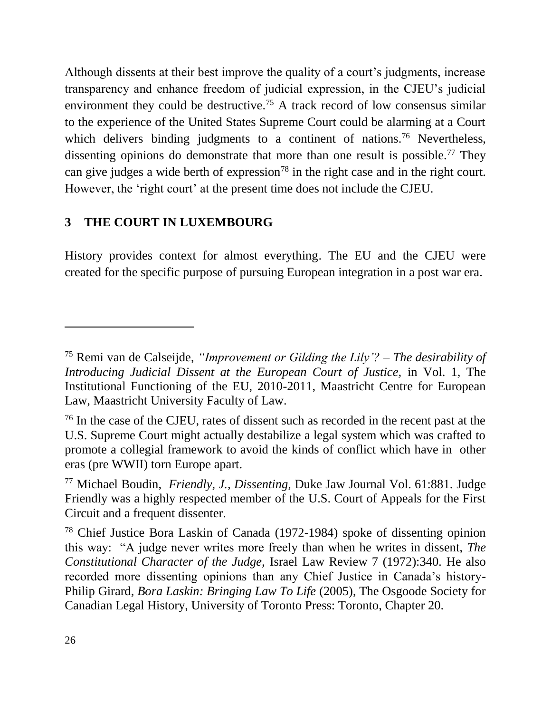Although dissents at their best improve the quality of a court's judgments, increase transparency and enhance freedom of judicial expression, in the CJEU's judicial environment they could be destructive.<sup>75</sup> A track record of low consensus similar to the experience of the United States Supreme Court could be alarming at a Court which delivers binding judgments to a continent of nations.<sup>76</sup> Nevertheless, dissenting opinions do demonstrate that more than one result is possible.<sup>77</sup> They can give judges a wide berth of expression<sup>78</sup> in the right case and in the right court. However, the 'right court' at the present time does not include the CJEU.

# <span id="page-25-0"></span>**3 THE COURT IN LUXEMBOURG**

History provides context for almost everything. The EU and the CJEU were created for the specific purpose of pursuing European integration in a post war era.

<sup>75</sup> Remi van de Calseijde, *"Improvement or Gilding the Lily'? – The desirability of Introducing Judicial Dissent at the European Court of Justice,* in Vol. 1, The Institutional Functioning of the EU, 2010-2011, Maastricht Centre for European Law, Maastricht University Faculty of Law.

<sup>&</sup>lt;sup>76</sup> In the case of the CJEU, rates of dissent such as recorded in the recent past at the U.S. Supreme Court might actually destabilize a legal system which was crafted to promote a collegial framework to avoid the kinds of conflict which have in other eras (pre WWII) torn Europe apart.

<sup>77</sup> Michael Boudin, *Friendly, J., Dissenting,* Duke Jaw Journal Vol. 61:881. Judge Friendly was a highly respected member of the U.S. Court of Appeals for the First Circuit and a frequent dissenter.

<sup>78</sup> Chief Justice Bora Laskin of Canada (1972-1984) spoke of dissenting opinion this way: "A judge never writes more freely than when he writes in dissent, *The Constitutional Character of the Judge,* Israel Law Review 7 (1972):340*.* He also recorded more dissenting opinions than any Chief Justice in Canada's history-Philip Girard*, Bora Laskin: Bringing Law To Life* (2005), The Osgoode Society for Canadian Legal History, University of Toronto Press: Toronto, Chapter 20.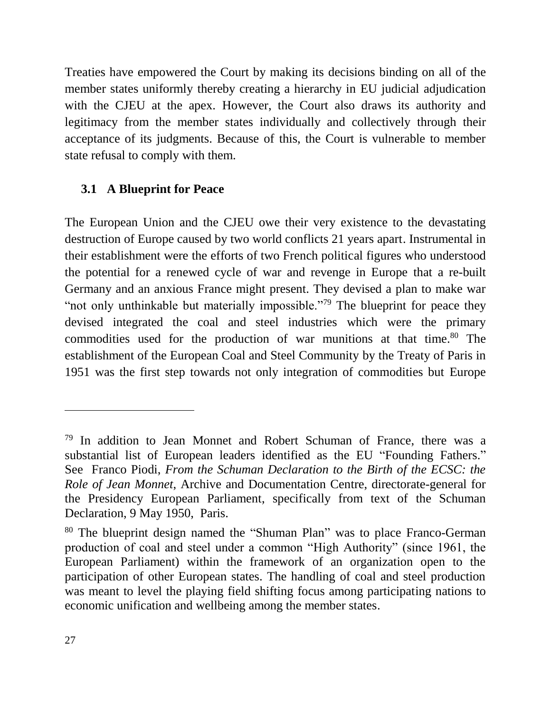Treaties have empowered the Court by making its decisions binding on all of the member states uniformly thereby creating a hierarchy in EU judicial adjudication with the CJEU at the apex. However, the Court also draws its authority and legitimacy from the member states individually and collectively through their acceptance of its judgments. Because of this, the Court is vulnerable to member state refusal to comply with them.

## <span id="page-26-0"></span>**3.1 A Blueprint for Peace**

The European Union and the CJEU owe their very existence to the devastating destruction of Europe caused by two world conflicts 21 years apart. Instrumental in their establishment were the efforts of two French political figures who understood the potential for a renewed cycle of war and revenge in Europe that a re-built Germany and an anxious France might present. They devised a plan to make war "not only unthinkable but materially impossible."<sup>79</sup> The blueprint for peace they devised integrated the coal and steel industries which were the primary commodities used for the production of war munitions at that time. <sup>80</sup> The establishment of the European Coal and Steel Community by the Treaty of Paris in 1951 was the first step towards not only integration of commodities but Europe

<sup>&</sup>lt;sup>79</sup> In addition to Jean Monnet and Robert Schuman of France, there was a substantial list of European leaders identified as the EU "Founding Fathers." See Franco Piodi, *From the Schuman Declaration to the Birth of the ECSC: the Role of Jean Monnet*, Archive and Documentation Centre, directorate-general for the Presidency European Parliament, specifically from text of the Schuman Declaration, 9 May 1950, Paris.

<sup>80</sup> The blueprint design named the "Shuman Plan" was to place Franco-German production of coal and steel under a common "High Authority" (since 1961, the European Parliament) within the framework of an organization open to the participation of other European states. The handling of coal and steel production was meant to level the playing field shifting focus among participating nations to economic unification and wellbeing among the member states.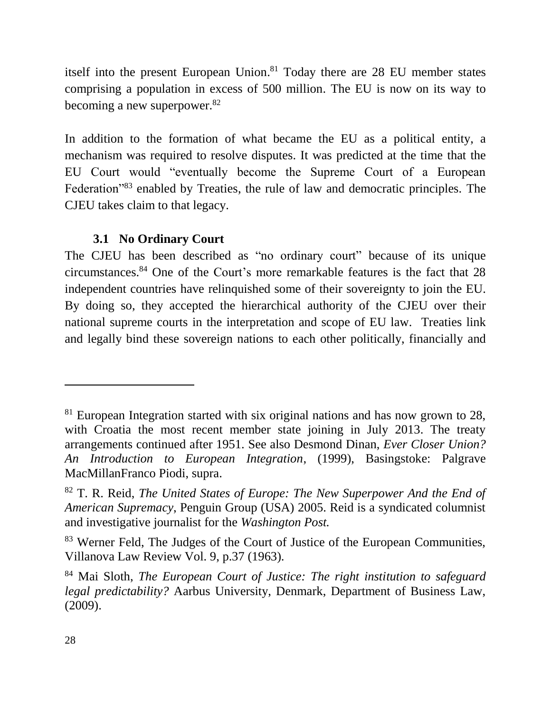itself into the present European Union. <sup>81</sup> Today there are 28 EU member states comprising a population in excess of 500 million. The EU is now on its way to becoming a new superpower.<sup>82</sup>

In addition to the formation of what became the EU as a political entity, a mechanism was required to resolve disputes. It was predicted at the time that the EU Court would "eventually become the Supreme Court of a European Federation"<sup>83</sup> enabled by Treaties, the rule of law and democratic principles. The CJEU takes claim to that legacy.

## **3.1 No Ordinary Court**

<span id="page-27-0"></span>The CJEU has been described as "no ordinary court" because of its unique circumstances.<sup>84</sup> One of the Court's more remarkable features is the fact that 28 independent countries have relinquished some of their sovereignty to join the EU. By doing so, they accepted the hierarchical authority of the CJEU over their national supreme courts in the interpretation and scope of EU law. Treaties link and legally bind these sovereign nations to each other politically, financially and

<sup>&</sup>lt;sup>81</sup> European Integration started with six original nations and has now grown to 28, with Croatia the most recent member state joining in July 2013. The treaty arrangements continued after 1951. See also Desmond Dinan, *Ever Closer Union? An Introduction to European Integration*, (1999), Basingstoke: Palgrave MacMillanFranco Piodi, supra.

<sup>82</sup> T. R. Reid, *The United States of Europe: The New Superpower And the End of American Supremacy*, Penguin Group (USA) 2005. Reid is a syndicated columnist and investigative journalist for the *Washington Post.*

<sup>&</sup>lt;sup>83</sup> Werner Feld, The Judges of the Court of Justice of the European Communities, Villanova Law Review Vol. 9, p.37 (1963).

<sup>84</sup> Mai Sloth, *The European Court of Justice: The right institution to safeguard legal predictability?* Aarbus University, Denmark, Department of Business Law, (2009).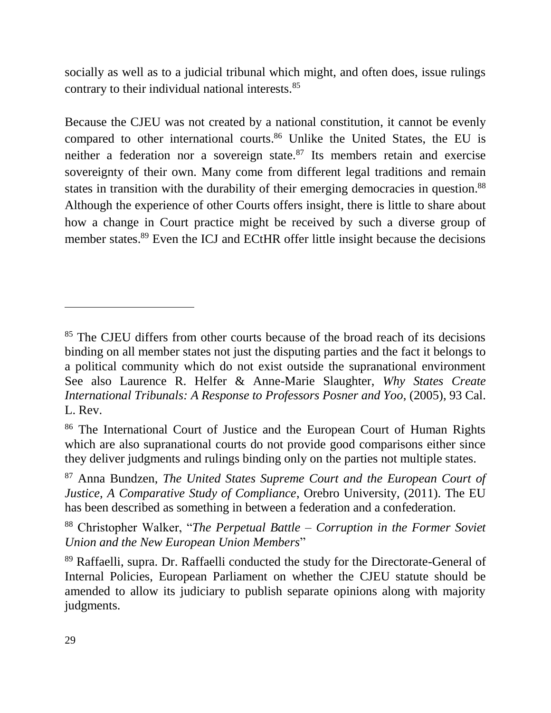socially as well as to a judicial tribunal which might, and often does, issue rulings contrary to their individual national interests.<sup>85</sup>

Because the CJEU was not created by a national constitution, it cannot be evenly compared to other international courts. <sup>86</sup> Unlike the United States, the EU is neither a federation nor a sovereign state. $87$  Its members retain and exercise sovereignty of their own. Many come from different legal traditions and remain states in transition with the durability of their emerging democracies in question.<sup>88</sup> Although the experience of other Courts offers insight, there is little to share about how a change in Court practice might be received by such a diverse group of member states.<sup>89</sup> Even the ICJ and ECtHR offer little insight because the decisions

<sup>&</sup>lt;sup>85</sup> The CJEU differs from other courts because of the broad reach of its decisions binding on all member states not just the disputing parties and the fact it belongs to a political community which do not exist outside the supranational environment See also Laurence R. Helfer & Anne-Marie Slaughter, *Why States Create International Tribunals: A Response to Professors Posner and Yoo*, (2005), 93 Cal. L. Rev.

<sup>86</sup> The International Court of Justice and the European Court of Human Rights which are also supranational courts do not provide good comparisons either since they deliver judgments and rulings binding only on the parties not multiple states.

<sup>87</sup> Anna Bundzen, *The United States Supreme Court and the European Court of Justice, A Comparative Study of Compliance*, Orebro University, (2011). The EU has been described as something in between a federation and a confederation.

<sup>88</sup> Christopher Walker, "*The Perpetual Battle – Corruption in the Former Soviet Union and the New European Union Members*"

<sup>89</sup> Raffaelli, supra. Dr. Raffaelli conducted the study for the Directorate-General of Internal Policies, European Parliament on whether the CJEU statute should be amended to allow its judiciary to publish separate opinions along with majority judgments.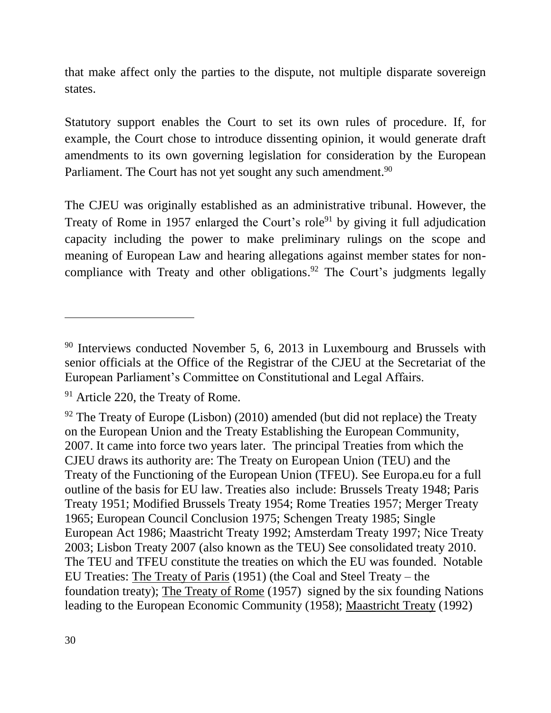that make affect only the parties to the dispute, not multiple disparate sovereign states.

Statutory support enables the Court to set its own rules of procedure. If, for example, the Court chose to introduce dissenting opinion, it would generate draft amendments to its own governing legislation for consideration by the European Parliament. The Court has not yet sought any such amendment.<sup>90</sup>

The CJEU was originally established as an administrative tribunal. However, the Treaty of Rome in 1957 enlarged the Court's role<sup>91</sup> by giving it full adjudication capacity including the power to make preliminary rulings on the scope and meaning of European Law and hearing allegations against member states for noncompliance with Treaty and other obligations.<sup>92</sup> The Court's judgments legally

<sup>&</sup>lt;sup>90</sup> Interviews conducted November 5, 6, 2013 in Luxembourg and Brussels with senior officials at the Office of the Registrar of the CJEU at the Secretariat of the European Parliament's Committee on Constitutional and Legal Affairs.

<sup>&</sup>lt;sup>91</sup> Article 220, the Treaty of Rome.

 $92$  The Treaty of Europe (Lisbon) (2010) amended (but did not replace) the Treaty on the European Union and the Treaty Establishing the European Community, 2007. It came into force two years later. The principal Treaties from which the CJEU draws its authority are: The Treaty on European Union (TEU) and the Treaty of the Functioning of the European Union (TFEU). See Europa.eu for a full outline of the basis for EU law. Treaties also include: Brussels Treaty 1948; Paris Treaty 1951; Modified Brussels Treaty 1954; Rome Treaties 1957; Merger Treaty 1965; European Council Conclusion 1975; Schengen Treaty 1985; Single European Act 1986; Maastricht Treaty 1992; Amsterdam Treaty 1997; Nice Treaty 2003; Lisbon Treaty 2007 (also known as the TEU) See consolidated treaty 2010. The TEU and TFEU constitute the treaties on which the EU was founded. Notable EU Treaties: The Treaty of Paris (1951) (the Coal and Steel Treaty – the foundation treaty); The Treaty of Rome (1957) signed by the six founding Nations leading to the European Economic Community (1958); Maastricht Treaty (1992)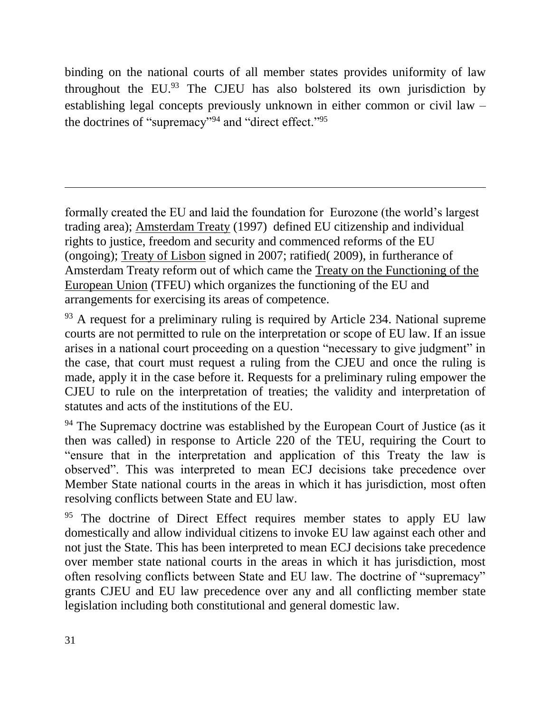binding on the national courts of all member states provides uniformity of law throughout the  $EU^{93}$  The CJEU has also bolstered its own jurisdiction by establishing legal concepts previously unknown in either common or civil law – the doctrines of "supremacy"<sup>94</sup> and "direct effect."<sup>95</sup>

formally created the EU and laid the foundation for Eurozone (the world's largest trading area); Amsterdam Treaty (1997) defined EU citizenship and individual rights to justice, freedom and security and commenced reforms of the EU (ongoing); Treaty of Lisbon signed in 2007; ratified( 2009), in furtherance of Amsterdam Treaty reform out of which came the Treaty on the Functioning of the European Union (TFEU) which organizes the functioning of the EU and arrangements for exercising its areas of competence.

 $93$  A request for a preliminary ruling is required by Article 234. National supreme courts are not permitted to rule on the interpretation or scope of EU law. If an issue arises in a national court proceeding on a question "necessary to give judgment" in the case, that court must request a ruling from the CJEU and once the ruling is made, apply it in the case before it. Requests for a preliminary ruling empower the CJEU to rule on the interpretation of treaties; the validity and interpretation of statutes and acts of the institutions of the EU.

<sup>94</sup> The Supremacy doctrine was established by the European Court of Justice (as it then was called) in response to Article 220 of the TEU, requiring the Court to "ensure that in the interpretation and application of this Treaty the law is observed". This was interpreted to mean ECJ decisions take precedence over Member State national courts in the areas in which it has jurisdiction, most often resolving conflicts between State and EU law.

The doctrine of Direct Effect requires member states to apply EU law domestically and allow individual citizens to invoke EU law against each other and not just the State. This has been interpreted to mean ECJ decisions take precedence over member state national courts in the areas in which it has jurisdiction, most often resolving conflicts between State and EU law. The doctrine of "supremacy" grants CJEU and EU law precedence over any and all conflicting member state legislation including both constitutional and general domestic law.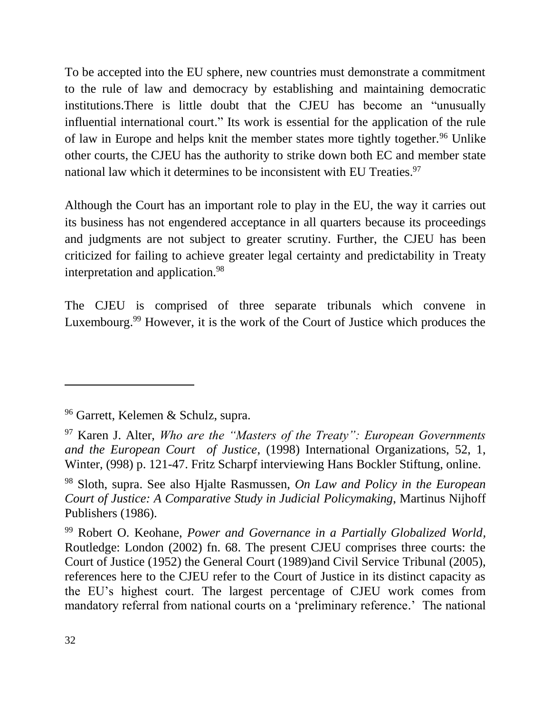To be accepted into the EU sphere, new countries must demonstrate a commitment to the rule of law and democracy by establishing and maintaining democratic institutions.There is little doubt that the CJEU has become an "unusually influential international court." Its work is essential for the application of the rule of law in Europe and helps knit the member states more tightly together.<sup>96</sup> Unlike other courts, the CJEU has the authority to strike down both EC and member state national law which it determines to be inconsistent with EU Treaties.<sup>97</sup>

Although the Court has an important role to play in the EU, the way it carries out its business has not engendered acceptance in all quarters because its proceedings and judgments are not subject to greater scrutiny. Further, the CJEU has been criticized for failing to achieve greater legal certainty and predictability in Treaty interpretation and application.<sup>98</sup>

The CJEU is comprised of three separate tribunals which convene in Luxembourg.<sup>99</sup> However, it is the work of the Court of Justice which produces the

<sup>96</sup> Garrett, Kelemen & Schulz, supra.

<sup>97</sup> Karen J. Alter, *Who are the "Masters of the Treaty": European Governments and the European Court of Justice*, (1998) International Organizations, 52, 1, Winter, (998) p. 121-47. Fritz Scharpf interviewing Hans Bockler Stiftung, online.

<sup>98</sup> Sloth, supra. See also Hjalte Rasmussen, *On Law and Policy in the European Court of Justice: A Comparative Study in Judicial Policymaking*, Martinus Nijhoff Publishers (1986).

<sup>99</sup> Robert O. Keohane, *Power and Governance in a Partially Globalized World,* Routledge: London (2002) fn. 68. The present CJEU comprises three courts: the Court of Justice (1952) the General Court (1989)and Civil Service Tribunal (2005), references here to the CJEU refer to the Court of Justice in its distinct capacity as the EU's highest court. The largest percentage of CJEU work comes from mandatory referral from national courts on a 'preliminary reference.' The national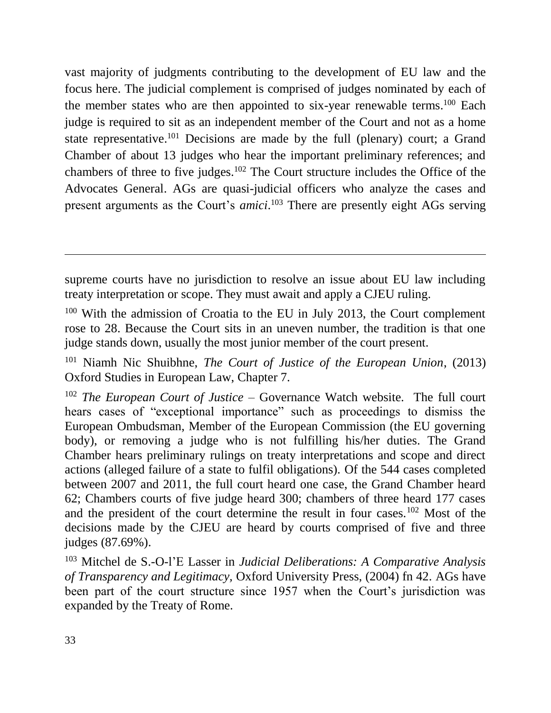vast majority of judgments contributing to the development of EU law and the focus here. The judicial complement is comprised of judges nominated by each of the member states who are then appointed to six-year renewable terms.<sup>100</sup> Each judge is required to sit as an independent member of the Court and not as a home state representative.<sup>101</sup> Decisions are made by the full (plenary) court; a Grand Chamber of about 13 judges who hear the important preliminary references; and chambers of three to five judges.<sup>102</sup> The Court structure includes the Office of the Advocates General. AGs are quasi-judicial officers who analyze the cases and present arguments as the Court's *amici*. <sup>103</sup> There are presently eight AGs serving

supreme courts have no jurisdiction to resolve an issue about EU law including treaty interpretation or scope. They must await and apply a CJEU ruling.

 $100$  With the admission of Croatia to the EU in July 2013, the Court complement rose to 28. Because the Court sits in an uneven number, the tradition is that one judge stands down, usually the most junior member of the court present.

<sup>101</sup> Niamh Nic Shuibhne, *The Court of Justice of the European Union*, (2013) Oxford Studies in European Law, Chapter 7.

<sup>102</sup> *The European Court of Justice* – Governance Watch website. The full court hears cases of "exceptional importance" such as proceedings to dismiss the European Ombudsman, Member of the European Commission (the EU governing body), or removing a judge who is not fulfilling his/her duties. The Grand Chamber hears preliminary rulings on treaty interpretations and scope and direct actions (alleged failure of a state to fulfil obligations). Of the 544 cases completed between 2007 and 2011, the full court heard one case, the Grand Chamber heard 62; Chambers courts of five judge heard 300; chambers of three heard 177 cases and the president of the court determine the result in four cases.<sup>102</sup> Most of the decisions made by the CJEU are heard by courts comprised of five and three judges (87.69%).

<sup>103</sup> Mitchel de S.-O-l'E Lasser in *Judicial Deliberations: A Comparative Analysis of Transparency and Legitimacy,* Oxford University Press, (2004) fn 42. AGs have been part of the court structure since 1957 when the Court's jurisdiction was expanded by the Treaty of Rome.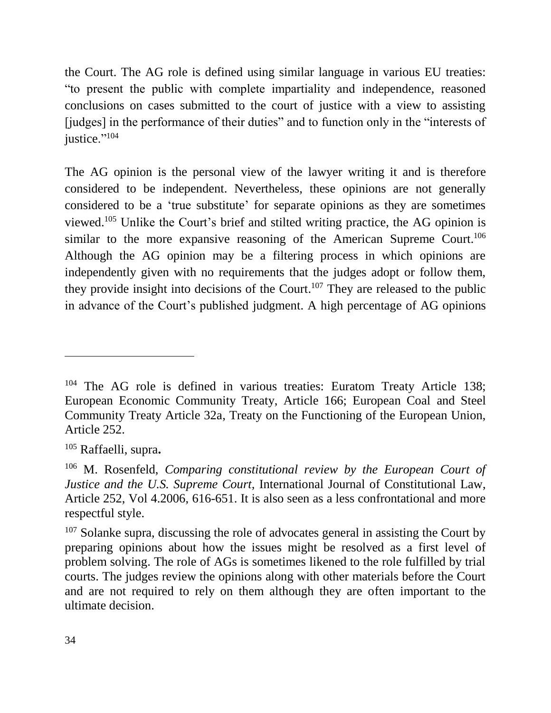the Court. The AG role is defined using similar language in various EU treaties: "to present the public with complete impartiality and independence, reasoned conclusions on cases submitted to the court of justice with a view to assisting [judges] in the performance of their duties" and to function only in the "interests of justice."<sup>104</sup>

The AG opinion is the personal view of the lawyer writing it and is therefore considered to be independent. Nevertheless, these opinions are not generally considered to be a 'true substitute' for separate opinions as they are sometimes viewed.<sup>105</sup> Unlike the Court's brief and stilted writing practice, the AG opinion is similar to the more expansive reasoning of the American Supreme Court.<sup>106</sup> Although the AG opinion may be a filtering process in which opinions are independently given with no requirements that the judges adopt or follow them, they provide insight into decisions of the Court.<sup>107</sup> They are released to the public in advance of the Court's published judgment. A high percentage of AG opinions

<sup>&</sup>lt;sup>104</sup> The AG role is defined in various treaties: Euratom Treaty Article 138; European Economic Community Treaty, Article 166; European Coal and Steel Community Treaty Article 32a, Treaty on the Functioning of the European Union, Article 252.

<sup>105</sup> Raffaelli, supra**.**

<sup>106</sup> M. Rosenfeld, *Comparing constitutional review by the European Court of Justice and the U.S. Supreme Court,* International Journal of Constitutional Law, Article 252, Vol 4.2006, 616-651. It is also seen as a less confrontational and more respectful style.

 $107$  Solanke supra, discussing the role of advocates general in assisting the Court by preparing opinions about how the issues might be resolved as a first level of problem solving. The role of AGs is sometimes likened to the role fulfilled by trial courts. The judges review the opinions along with other materials before the Court and are not required to rely on them although they are often important to the ultimate decision.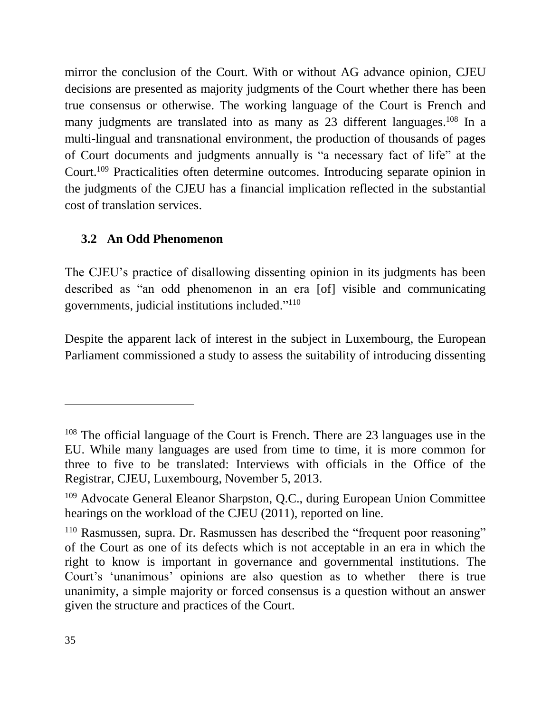mirror the conclusion of the Court. With or without AG advance opinion, CJEU decisions are presented as majority judgments of the Court whether there has been true consensus or otherwise. The working language of the Court is French and many judgments are translated into as many as 23 different languages.<sup>108</sup> In a multi-lingual and transnational environment, the production of thousands of pages of Court documents and judgments annually is "a necessary fact of life" at the Court. <sup>109</sup> Practicalities often determine outcomes. Introducing separate opinion in the judgments of the CJEU has a financial implication reflected in the substantial cost of translation services.

## <span id="page-34-0"></span>**3.2 An Odd Phenomenon**

The CJEU's practice of disallowing dissenting opinion in its judgments has been described as "an odd phenomenon in an era [of] visible and communicating governments, judicial institutions included." 110

Despite the apparent lack of interest in the subject in Luxembourg, the European Parliament commissioned a study to assess the suitability of introducing dissenting

<sup>108</sup> The official language of the Court is French. There are 23 languages use in the EU. While many languages are used from time to time, it is more common for three to five to be translated: Interviews with officials in the Office of the Registrar, CJEU, Luxembourg, November 5, 2013.

<sup>109</sup> Advocate General Eleanor Sharpston, Q.C., during European Union Committee hearings on the workload of the CJEU (2011), reported on line.

<sup>&</sup>lt;sup>110</sup> Rasmussen, supra. Dr. Rasmussen has described the "frequent poor reasoning" of the Court as one of its defects which is not acceptable in an era in which the right to know is important in governance and governmental institutions. The Court's 'unanimous' opinions are also question as to whether there is true unanimity, a simple majority or forced consensus is a question without an answer given the structure and practices of the Court.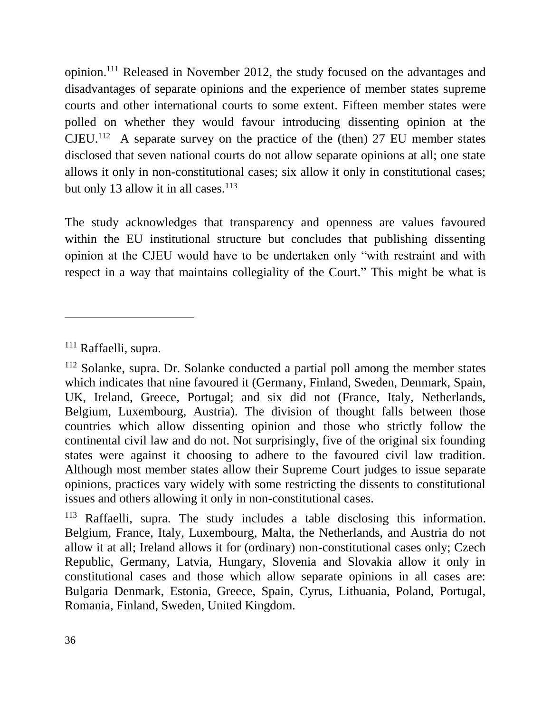opinion. <sup>111</sup> Released in November 2012, the study focused on the advantages and disadvantages of separate opinions and the experience of member states supreme courts and other international courts to some extent. Fifteen member states were polled on whether they would favour introducing dissenting opinion at the  $CJEU<sup>112</sup>$  A separate survey on the practice of the (then) 27 EU member states disclosed that seven national courts do not allow separate opinions at all; one state allows it only in non-constitutional cases; six allow it only in constitutional cases; but only 13 allow it in all cases.<sup>113</sup>

The study acknowledges that transparency and openness are values favoured within the EU institutional structure but concludes that publishing dissenting opinion at the CJEU would have to be undertaken only "with restraint and with respect in a way that maintains collegiality of the Court." This might be what is

<sup>111</sup> Raffaelli, supra.

 $112$  Solanke, supra. Dr. Solanke conducted a partial poll among the member states which indicates that nine favoured it (Germany, Finland, Sweden, Denmark, Spain, UK, Ireland, Greece, Portugal; and six did not (France, Italy, Netherlands, Belgium, Luxembourg, Austria). The division of thought falls between those countries which allow dissenting opinion and those who strictly follow the continental civil law and do not. Not surprisingly, five of the original six founding states were against it choosing to adhere to the favoured civil law tradition. Although most member states allow their Supreme Court judges to issue separate opinions, practices vary widely with some restricting the dissents to constitutional issues and others allowing it only in non-constitutional cases.

<sup>113</sup> Raffaelli, supra. The study includes a table disclosing this information. Belgium, France, Italy, Luxembourg, Malta, the Netherlands, and Austria do not allow it at all; Ireland allows it for (ordinary) non-constitutional cases only; Czech Republic, Germany, Latvia, Hungary, Slovenia and Slovakia allow it only in constitutional cases and those which allow separate opinions in all cases are: Bulgaria Denmark, Estonia, Greece, Spain, Cyrus, Lithuania, Poland, Portugal, Romania, Finland, Sweden, United Kingdom.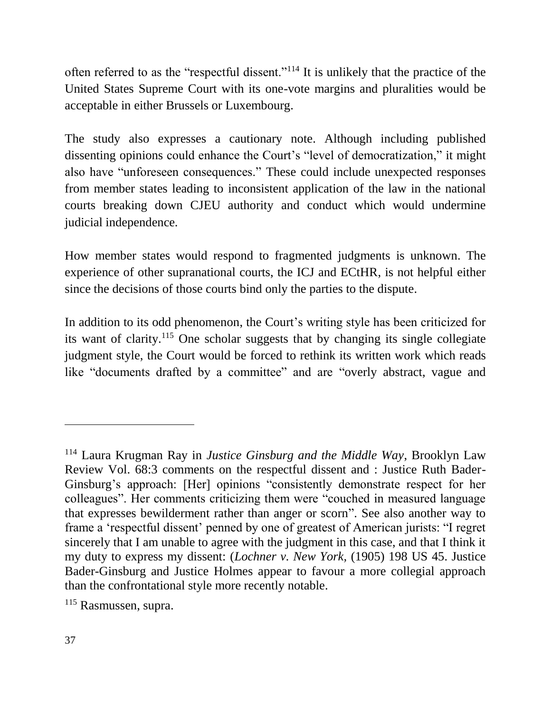often referred to as the "respectful dissent."<sup>114</sup> It is unlikely that the practice of the United States Supreme Court with its one-vote margins and pluralities would be acceptable in either Brussels or Luxembourg.

The study also expresses a cautionary note. Although including published dissenting opinions could enhance the Court's "level of democratization," it might also have "unforeseen consequences." These could include unexpected responses from member states leading to inconsistent application of the law in the national courts breaking down CJEU authority and conduct which would undermine judicial independence.

How member states would respond to fragmented judgments is unknown. The experience of other supranational courts, the ICJ and ECtHR, is not helpful either since the decisions of those courts bind only the parties to the dispute.

In addition to its odd phenomenon, the Court's writing style has been criticized for its want of clarity. <sup>115</sup> One scholar suggests that by changing its single collegiate judgment style, the Court would be forced to rethink its written work which reads like "documents drafted by a committee" and are "overly abstract, vague and

<sup>114</sup> Laura Krugman Ray in *Justice Ginsburg and the Middle Way*, Brooklyn Law Review Vol. 68:3 comments on the respectful dissent and : Justice Ruth Bader-Ginsburg's approach: [Her] opinions "consistently demonstrate respect for her colleagues". Her comments criticizing them were "couched in measured language that expresses bewilderment rather than anger or scorn". See also another way to frame a 'respectful dissent' penned by one of greatest of American jurists: "I regret sincerely that I am unable to agree with the judgment in this case, and that I think it my duty to express my dissent: (*Lochner v. New York,* (1905) 198 US 45. Justice Bader-Ginsburg and Justice Holmes appear to favour a more collegial approach than the confrontational style more recently notable.

<sup>115</sup> Rasmussen, supra.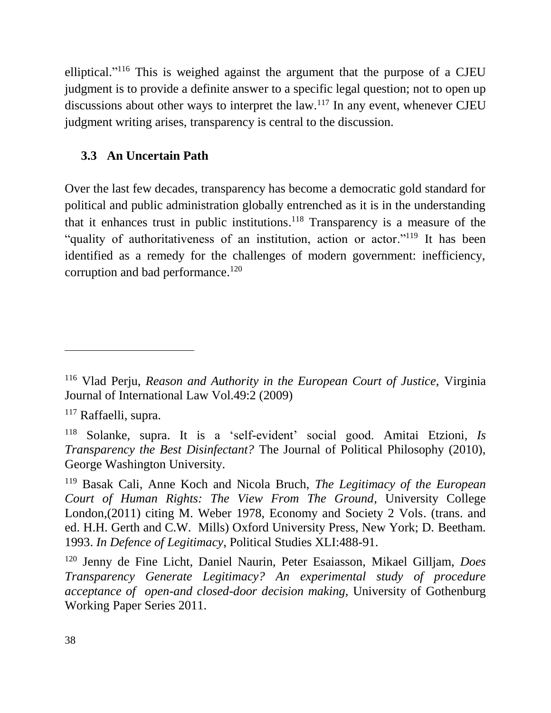elliptical."<sup>116</sup> This is weighed against the argument that the purpose of a CJEU judgment is to provide a definite answer to a specific legal question; not to open up discussions about other ways to interpret the  $law$ .<sup>117</sup> In any event, whenever CJEU judgment writing arises, transparency is central to the discussion.

#### <span id="page-37-0"></span>**3.3 An Uncertain Path**

Over the last few decades, transparency has become a democratic gold standard for political and public administration globally entrenched as it is in the understanding that it enhances trust in public institutions. <sup>118</sup> Transparency is a measure of the "quality of authoritativeness of an institution, action or actor."<sup>119</sup> It has been identified as a remedy for the challenges of modern government: inefficiency, corruption and bad performance.<sup>120</sup>

<sup>116</sup> Vlad Perju, *Reason and Authority in the European Court of Justice,* Virginia Journal of International Law Vol.49:2 (2009)

<sup>117</sup> Raffaelli, supra.

<sup>118</sup> Solanke, supra. It is a 'self-evident' social good. Amitai Etzioni, *Is Transparency the Best Disinfectant?* The Journal of Political Philosophy (2010), George Washington University.

<sup>119</sup> Basak Cali, Anne Koch and Nicola Bruch, *The Legitimacy of the European Court of Human Rights: The View From The Ground*, University College London,(2011) citing M. Weber 1978, Economy and Society 2 Vols. (trans. and ed. H.H. Gerth and C.W. Mills) Oxford University Press, New York; D. Beetham. 1993. *In Defence of Legitimacy*, Political Studies XLI:488-91.

<sup>120</sup> Jenny de Fine Licht, Daniel Naurin, Peter Esaiasson, Mikael Gilljam, *Does Transparency Generate Legitimacy? An experimental study of procedure acceptance of open-and closed-door decision making,* University of Gothenburg Working Paper Series 2011.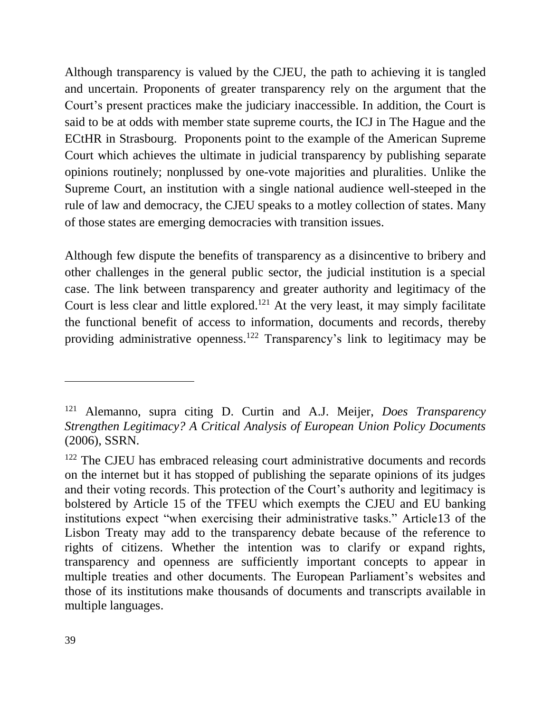Although transparency is valued by the CJEU, the path to achieving it is tangled and uncertain. Proponents of greater transparency rely on the argument that the Court's present practices make the judiciary inaccessible. In addition, the Court is said to be at odds with member state supreme courts, the ICJ in The Hague and the ECtHR in Strasbourg. Proponents point to the example of the American Supreme Court which achieves the ultimate in judicial transparency by publishing separate opinions routinely; nonplussed by one-vote majorities and pluralities. Unlike the Supreme Court, an institution with a single national audience well-steeped in the rule of law and democracy, the CJEU speaks to a motley collection of states. Many of those states are emerging democracies with transition issues.

Although few dispute the benefits of transparency as a disincentive to bribery and other challenges in the general public sector, the judicial institution is a special case. The link between transparency and greater authority and legitimacy of the Court is less clear and little explored.<sup>121</sup> At the very least, it may simply facilitate the functional benefit of access to information, documents and records, thereby providing administrative openness.<sup>122</sup> Transparency's link to legitimacy may be

<sup>121</sup> Alemanno, supra citing D. Curtin and A.J. Meijer, *Does Transparency Strengthen Legitimacy? A Critical Analysis of European Union Policy Documents*  (2006), SSRN.

<sup>&</sup>lt;sup>122</sup> The CJEU has embraced releasing court administrative documents and records on the internet but it has stopped of publishing the separate opinions of its judges and their voting records. This protection of the Court's authority and legitimacy is bolstered by Article 15 of the TFEU which exempts the CJEU and EU banking institutions expect "when exercising their administrative tasks." Article13 of the Lisbon Treaty may add to the transparency debate because of the reference to rights of citizens. Whether the intention was to clarify or expand rights, transparency and openness are sufficiently important concepts to appear in multiple treaties and other documents. The European Parliament's websites and those of its institutions make thousands of documents and transcripts available in multiple languages.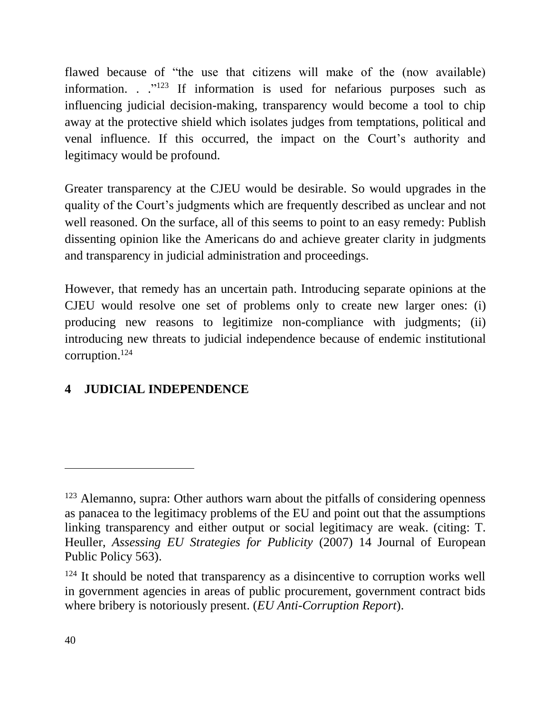flawed because of "the use that citizens will make of the (now available) information.  $\cdot$  ."<sup>123</sup> If information is used for nefarious purposes such as influencing judicial decision-making, transparency would become a tool to chip away at the protective shield which isolates judges from temptations, political and venal influence. If this occurred, the impact on the Court's authority and legitimacy would be profound.

Greater transparency at the CJEU would be desirable. So would upgrades in the quality of the Court's judgments which are frequently described as unclear and not well reasoned. On the surface, all of this seems to point to an easy remedy: Publish dissenting opinion like the Americans do and achieve greater clarity in judgments and transparency in judicial administration and proceedings.

However, that remedy has an uncertain path. Introducing separate opinions at the CJEU would resolve one set of problems only to create new larger ones: (i) producing new reasons to legitimize non-compliance with judgments; (ii) introducing new threats to judicial independence because of endemic institutional corruption. 124

# <span id="page-39-0"></span>**4 JUDICIAL INDEPENDENCE**

<sup>&</sup>lt;sup>123</sup> Alemanno, supra: Other authors warn about the pitfalls of considering openness as panacea to the legitimacy problems of the EU and point out that the assumptions linking transparency and either output or social legitimacy are weak. (citing: T. Heuller, *Assessing EU Strategies for Publicity* (2007) 14 Journal of European Public Policy 563).

<sup>&</sup>lt;sup>124</sup> It should be noted that transparency as a disincentive to corruption works well in government agencies in areas of public procurement, government contract bids where bribery is notoriously present. (*EU Anti-Corruption Report*).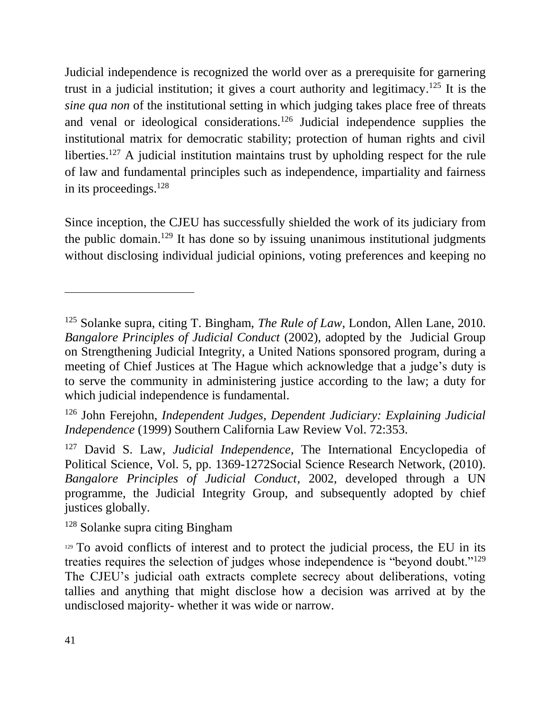Judicial independence is recognized the world over as a prerequisite for garnering trust in a judicial institution; it gives a court authority and legitimacy. <sup>125</sup> It is the *sine qua non* of the institutional setting in which judging takes place free of threats and venal or ideological considerations.<sup>126</sup> Judicial independence supplies the institutional matrix for democratic stability; protection of human rights and civil liberties.<sup>127</sup> A judicial institution maintains trust by upholding respect for the rule of law and fundamental principles such as independence, impartiality and fairness in its proceedings.<sup>128</sup>

Since inception, the CJEU has successfully shielded the work of its judiciary from the public domain.<sup>129</sup> It has done so by issuing unanimous institutional judgments without disclosing individual judicial opinions, voting preferences and keeping no

<sup>128</sup> Solanke supra citing Bingham

<sup>125</sup> Solanke supra, citing T. Bingham, *The Rule of Law*, London, Allen Lane, 2010. *Bangalore Principles of Judicial Conduct* (2002), adopted by the Judicial Group on Strengthening Judicial Integrity, a United Nations sponsored program, during a meeting of Chief Justices at The Hague which acknowledge that a judge's duty is to serve the community in administering justice according to the law; a duty for which judicial independence is fundamental.

<sup>126</sup> John Ferejohn, *Independent Judges, Dependent Judiciary: Explaining Judicial Independence* (1999) Southern California Law Review Vol. 72:353.

<sup>127</sup> David S. Law, *Judicial Independence*, The International Encyclopedia of Political Science, Vol. 5, pp. 1369-1272Social Science Research Network, (2010). *Bangalore Principles of Judicial Conduct*, 2002, developed through a UN programme, the Judicial Integrity Group, and subsequently adopted by chief justices globally.

<sup>&</sup>lt;sup>129</sup> To avoid conflicts of interest and to protect the judicial process, the EU in its treaties requires the selection of judges whose independence is "beyond doubt."<sup>129</sup> The CJEU's judicial oath extracts complete secrecy about deliberations, voting tallies and anything that might disclose how a decision was arrived at by the undisclosed majority- whether it was wide or narrow.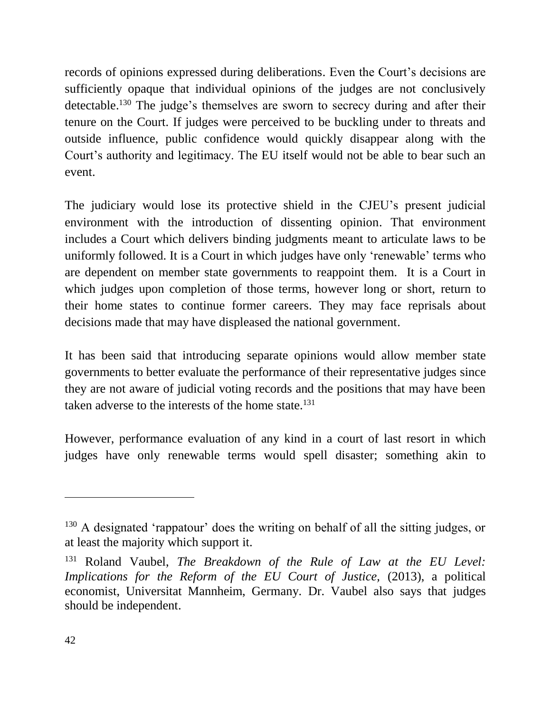records of opinions expressed during deliberations. Even the Court's decisions are sufficiently opaque that individual opinions of the judges are not conclusively detectable.<sup>130</sup> The judge's themselves are sworn to secrecy during and after their tenure on the Court. If judges were perceived to be buckling under to threats and outside influence, public confidence would quickly disappear along with the Court's authority and legitimacy. The EU itself would not be able to bear such an event.

The judiciary would lose its protective shield in the CJEU's present judicial environment with the introduction of dissenting opinion. That environment includes a Court which delivers binding judgments meant to articulate laws to be uniformly followed. It is a Court in which judges have only 'renewable' terms who are dependent on member state governments to reappoint them. It is a Court in which judges upon completion of those terms, however long or short, return to their home states to continue former careers. They may face reprisals about decisions made that may have displeased the national government.

It has been said that introducing separate opinions would allow member state governments to better evaluate the performance of their representative judges since they are not aware of judicial voting records and the positions that may have been taken adverse to the interests of the home state. $131$ 

However, performance evaluation of any kind in a court of last resort in which judges have only renewable terms would spell disaster; something akin to

<sup>&</sup>lt;sup>130</sup> A designated 'rappatour' does the writing on behalf of all the sitting judges, or at least the majority which support it.

<sup>131</sup> Roland Vaubel, *The Breakdown of the Rule of Law at the EU Level: Implications for the Reform of the EU Court of Justice, (2013), a political* economist, Universitat Mannheim, Germany. Dr. Vaubel also says that judges should be independent.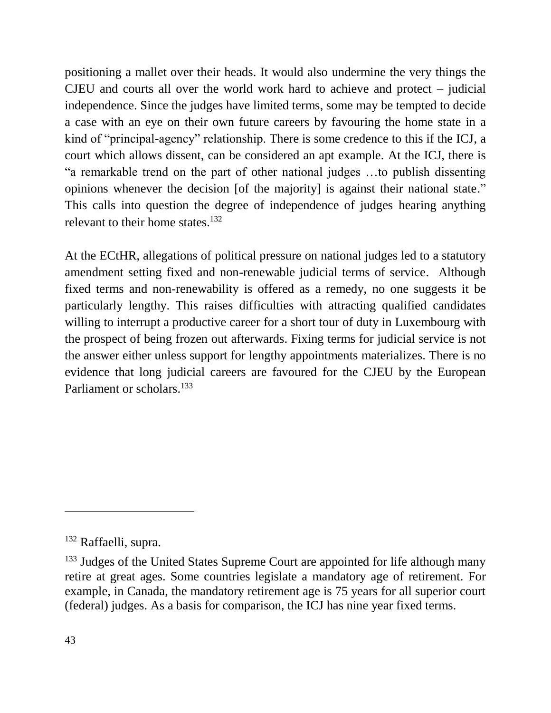positioning a mallet over their heads. It would also undermine the very things the CJEU and courts all over the world work hard to achieve and protect – judicial independence. Since the judges have limited terms, some may be tempted to decide a case with an eye on their own future careers by favouring the home state in a kind of "principal-agency" relationship. There is some credence to this if the ICJ, a court which allows dissent, can be considered an apt example. At the ICJ, there is "a remarkable trend on the part of other national judges …to publish dissenting opinions whenever the decision [of the majority] is against their national state." This calls into question the degree of independence of judges hearing anything relevant to their home states. $132$ 

At the ECtHR, allegations of political pressure on national judges led to a statutory amendment setting fixed and non-renewable judicial terms of service. Although fixed terms and non-renewability is offered as a remedy, no one suggests it be particularly lengthy. This raises difficulties with attracting qualified candidates willing to interrupt a productive career for a short tour of duty in Luxembourg with the prospect of being frozen out afterwards. Fixing terms for judicial service is not the answer either unless support for lengthy appointments materializes. There is no evidence that long judicial careers are favoured for the CJEU by the European Parliament or scholars.<sup>133</sup>

<sup>132</sup> Raffaelli, supra.

<sup>&</sup>lt;sup>133</sup> Judges of the United States Supreme Court are appointed for life although many retire at great ages. Some countries legislate a mandatory age of retirement. For example, in Canada, the mandatory retirement age is 75 years for all superior court (federal) judges. As a basis for comparison, the ICJ has nine year fixed terms.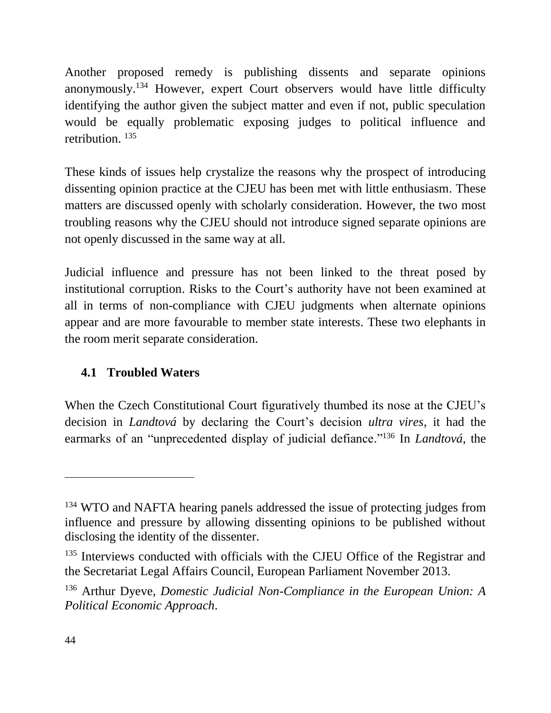Another proposed remedy is publishing dissents and separate opinions anonymously. <sup>134</sup> However, expert Court observers would have little difficulty identifying the author given the subject matter and even if not, public speculation would be equally problematic exposing judges to political influence and retribution. 135

These kinds of issues help crystalize the reasons why the prospect of introducing dissenting opinion practice at the CJEU has been met with little enthusiasm. These matters are discussed openly with scholarly consideration. However, the two most troubling reasons why the CJEU should not introduce signed separate opinions are not openly discussed in the same way at all.

Judicial influence and pressure has not been linked to the threat posed by institutional corruption. Risks to the Court's authority have not been examined at all in terms of non-compliance with CJEU judgments when alternate opinions appear and are more favourable to member state interests. These two elephants in the room merit separate consideration.

# <span id="page-43-0"></span>**4.1 Troubled Waters**

When the Czech Constitutional Court figuratively thumbed its nose at the CJEU's decision in *Landtová* by declaring the Court's decision *ultra vires*, it had the earmarks of an "unprecedented display of judicial defiance." <sup>136</sup> In *Landtová*, the

<sup>&</sup>lt;sup>134</sup> WTO and NAFTA hearing panels addressed the issue of protecting judges from influence and pressure by allowing dissenting opinions to be published without disclosing the identity of the dissenter.

<sup>&</sup>lt;sup>135</sup> Interviews conducted with officials with the CJEU Office of the Registrar and the Secretariat Legal Affairs Council, European Parliament November 2013.

<sup>136</sup> Arthur Dyeve, *Domestic Judicial Non-Compliance in the European Union: A Political Economic Approach*.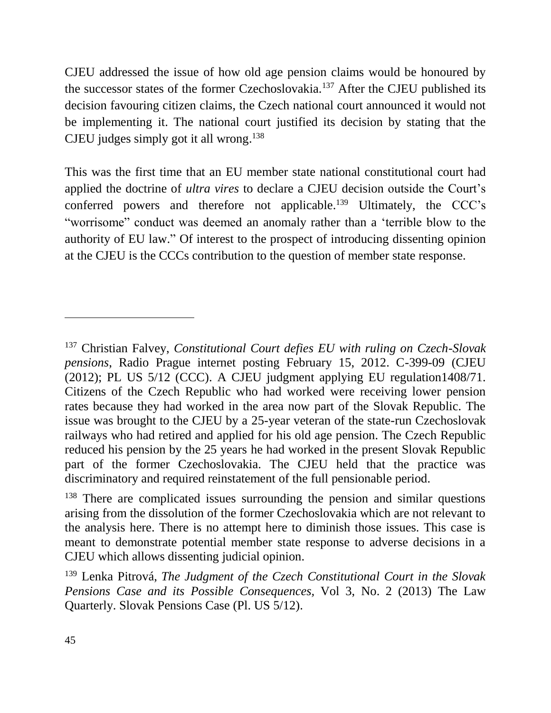CJEU addressed the issue of how old age pension claims would be honoured by the successor states of the former Czechoslovakia.<sup>137</sup> After the CJEU published its decision favouring citizen claims, the Czech national court announced it would not be implementing it. The national court justified its decision by stating that the CJEU judges simply got it all wrong. 138

This was the first time that an EU member state national constitutional court had applied the doctrine of *ultra vires* to declare a CJEU decision outside the Court's conferred powers and therefore not applicable. <sup>139</sup> Ultimately, the CCC's "worrisome" conduct was deemed an anomaly rather than a 'terrible blow to the authority of EU law." Of interest to the prospect of introducing dissenting opinion at the CJEU is the CCCs contribution to the question of member state response.

<sup>137</sup> Christian Falvey, *Constitutional Court defies EU with ruling on Czech-Slovak pensions*, Radio Prague internet posting February 15, 2012. C-399-09 (CJEU (2012); PL US 5/12 (CCC). A CJEU judgment applying EU regulation1408/71. Citizens of the Czech Republic who had worked were receiving lower pension rates because they had worked in the area now part of the Slovak Republic. The issue was brought to the CJEU by a 25-year veteran of the state-run Czechoslovak railways who had retired and applied for his old age pension. The Czech Republic reduced his pension by the 25 years he had worked in the present Slovak Republic part of the former Czechoslovakia. The CJEU held that the practice was discriminatory and required reinstatement of the full pensionable period.

<sup>&</sup>lt;sup>138</sup> There are complicated issues surrounding the pension and similar questions arising from the dissolution of the former Czechoslovakia which are not relevant to the analysis here. There is no attempt here to diminish those issues. This case is meant to demonstrate potential member state response to adverse decisions in a CJEU which allows dissenting judicial opinion.

<sup>139</sup> Lenka Pitrová, *The Judgment of the Czech Constitutional Court in the Slovak Pensions Case and its Possible Consequences,* Vol 3, No. 2 (2013) The Law Quarterly. Slovak Pensions Case (Pl. US 5/12).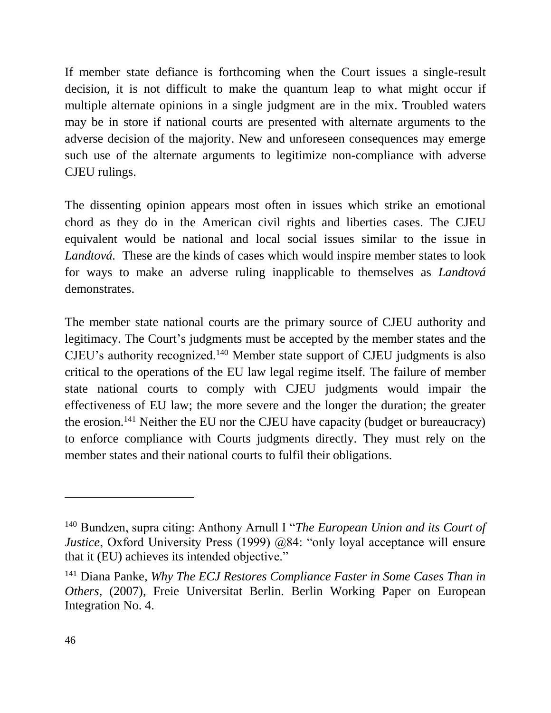If member state defiance is forthcoming when the Court issues a single-result decision, it is not difficult to make the quantum leap to what might occur if multiple alternate opinions in a single judgment are in the mix. Troubled waters may be in store if national courts are presented with alternate arguments to the adverse decision of the majority. New and unforeseen consequences may emerge such use of the alternate arguments to legitimize non-compliance with adverse CJEU rulings.

The dissenting opinion appears most often in issues which strike an emotional chord as they do in the American civil rights and liberties cases. The CJEU equivalent would be national and local social issues similar to the issue in *Landtová.* These are the kinds of cases which would inspire member states to look for ways to make an adverse ruling inapplicable to themselves as *Landtová*  demonstrates.

The member state national courts are the primary source of CJEU authority and legitimacy. The Court's judgments must be accepted by the member states and the CJEU's authority recognized.<sup>140</sup> Member state support of CJEU judgments is also critical to the operations of the EU law legal regime itself. The failure of member state national courts to comply with CJEU judgments would impair the effectiveness of EU law; the more severe and the longer the duration; the greater the erosion.<sup>141</sup> Neither the EU nor the CJEU have capacity (budget or bureaucracy) to enforce compliance with Courts judgments directly. They must rely on the member states and their national courts to fulfil their obligations.

<sup>140</sup> Bundzen, supra citing: Anthony Arnull I "*The European Union and its Court of Justice*, Oxford University Press (1999) @84: "only loyal acceptance will ensure that it (EU) achieves its intended objective."

<sup>141</sup> Diana Panke, *Why The ECJ Restores Compliance Faster in Some Cases Than in Others*, (2007), Freie Universitat Berlin. Berlin Working Paper on European Integration No. 4.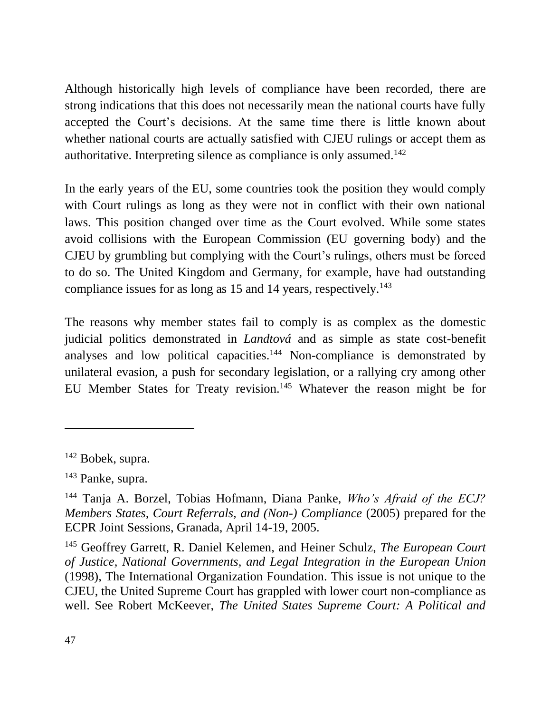Although historically high levels of compliance have been recorded, there are strong indications that this does not necessarily mean the national courts have fully accepted the Court's decisions. At the same time there is little known about whether national courts are actually satisfied with CJEU rulings or accept them as authoritative. Interpreting silence as compliance is only assumed.<sup>142</sup>

In the early years of the EU, some countries took the position they would comply with Court rulings as long as they were not in conflict with their own national laws. This position changed over time as the Court evolved. While some states avoid collisions with the European Commission (EU governing body) and the CJEU by grumbling but complying with the Court's rulings, others must be forced to do so. The United Kingdom and Germany, for example, have had outstanding compliance issues for as long as 15 and 14 years, respectively.<sup>143</sup>

The reasons why member states fail to comply is as complex as the domestic judicial politics demonstrated in *Landtová* and as simple as state cost-benefit analyses and low political capacities.<sup>144</sup> Non-compliance is demonstrated by unilateral evasion, a push for secondary legislation, or a rallying cry among other EU Member States for Treaty revision.<sup>145</sup> Whatever the reason might be for

<sup>142</sup> Bobek, supra.

<sup>143</sup> Panke, supra.

<sup>144</sup> Tanja A. Borzel, Tobias Hofmann, Diana Panke, *Who's Afraid of the ECJ? Members States, Court Referrals, and (Non-) Compliance* (2005) prepared for the ECPR Joint Sessions, Granada, April 14-19, 2005.

<sup>145</sup> Geoffrey Garrett, R. Daniel Kelemen, and Heiner Schulz, *The European Court of Justice, National Governments, and Legal Integration in the European Union* (1998), The International Organization Foundation. This issue is not unique to the CJEU, the United Supreme Court has grappled with lower court non-compliance as well. See Robert McKeever, *The United States Supreme Court: A Political and*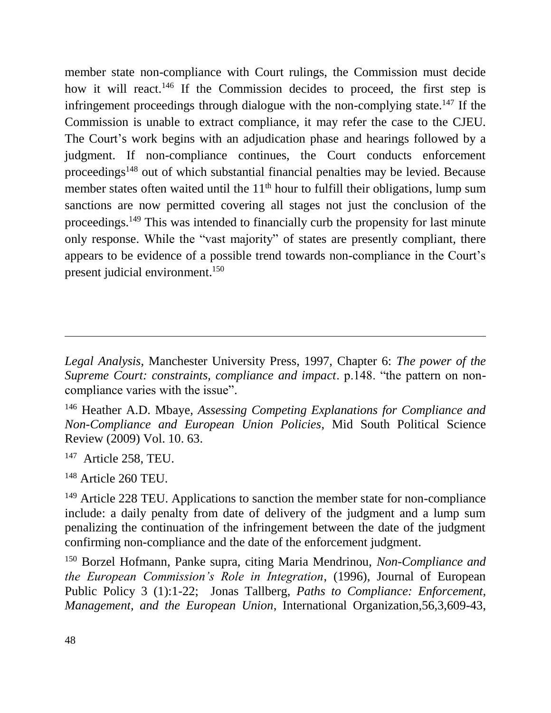member state non-compliance with Court rulings, the Commission must decide how it will react.<sup>146</sup> If the Commission decides to proceed, the first step is infringement proceedings through dialogue with the non-complying state.<sup>147</sup> If the Commission is unable to extract compliance, it may refer the case to the CJEU. The Court's work begins with an adjudication phase and hearings followed by a judgment. If non-compliance continues, the Court conducts enforcement proceedings<sup>148</sup> out of which substantial financial penalties may be levied. Because member states often waited until the  $11<sup>th</sup>$  hour to fulfill their obligations, lump sum sanctions are now permitted covering all stages not just the conclusion of the proceedings.<sup>149</sup> This was intended to financially curb the propensity for last minute only response. While the "vast majority" of states are presently compliant, there appears to be evidence of a possible trend towards non-compliance in the Court's present judicial environment.<sup>150</sup>

*Legal Analysis*, Manchester University Press, 1997, Chapter 6: *The power of the Supreme Court: constraints, compliance and impact*. p.148. "the pattern on noncompliance varies with the issue".

<sup>146</sup> Heather A.D. Mbaye, *Assessing Competing Explanations for Compliance and Non-Compliance and European Union Policies*, Mid South Political Science Review (2009) Vol. 10. 63.

<sup>&</sup>lt;sup>147</sup> Article 258, TEU.

<sup>&</sup>lt;sup>148</sup> Article 260 TEU.

<sup>&</sup>lt;sup>149</sup> Article 228 TEU. Applications to sanction the member state for non-compliance include: a daily penalty from date of delivery of the judgment and a lump sum penalizing the continuation of the infringement between the date of the judgment confirming non-compliance and the date of the enforcement judgment.

<sup>150</sup> Borzel Hofmann, Panke supra, citing Maria Mendrinou, *Non-Compliance and the European Commission's Role in Integration*, (1996), Journal of European Public Policy 3 (1):1-22; Jonas Tallberg, *Paths to Compliance: Enforcement, Management, and the European Union*, International Organization,56,3,609-43,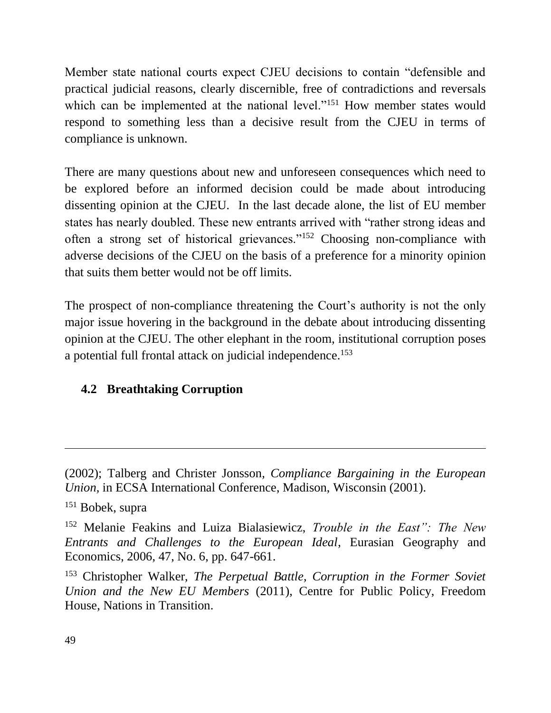Member state national courts expect CJEU decisions to contain "defensible and practical judicial reasons, clearly discernible, free of contradictions and reversals which can be implemented at the national level."<sup>151</sup> How member states would respond to something less than a decisive result from the CJEU in terms of compliance is unknown.

There are many questions about new and unforeseen consequences which need to be explored before an informed decision could be made about introducing dissenting opinion at the CJEU. In the last decade alone, the list of EU member states has nearly doubled. These new entrants arrived with "rather strong ideas and often a strong set of historical grievances."<sup>152</sup> Choosing non-compliance with adverse decisions of the CJEU on the basis of a preference for a minority opinion that suits them better would not be off limits.

The prospect of non-compliance threatening the Court's authority is not the only major issue hovering in the background in the debate about introducing dissenting opinion at the CJEU. The other elephant in the room, institutional corruption poses a potential full frontal attack on judicial independence.<sup>153</sup>

# <span id="page-48-0"></span>**4.2 Breathtaking Corruption**

<sup>(2002);</sup> Talberg and Christer Jonsson*, Compliance Bargaining in the European Union,* in ECSA International Conference, Madison, Wisconsin (2001).

<sup>151</sup> Bobek, supra

<sup>152</sup> Melanie Feakins and Luiza Bialasiewicz, *Trouble in the East": The New Entrants and Challenges to the European Ideal*, Eurasian Geography and Economics, 2006, 47, No. 6, pp. 647-661.

<sup>153</sup> Christopher Walker, *The Perpetual Battle, Corruption in the Former Soviet Union and the New EU Members* (2011), Centre for Public Policy, Freedom House, Nations in Transition.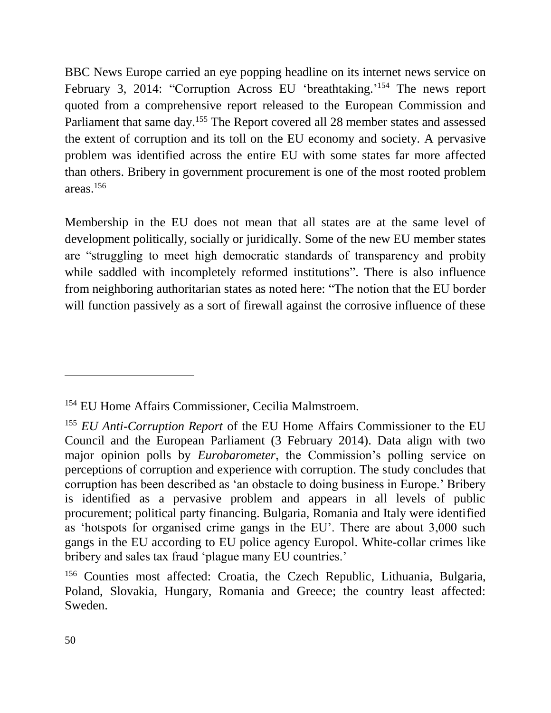BBC News Europe carried an eye popping headline on its internet news service on February 3, 2014: "Corruption Across EU 'breathtaking.'<sup>154</sup> The news report quoted from a comprehensive report released to the European Commission and Parliament that same day.<sup>155</sup> The Report covered all 28 member states and assessed the extent of corruption and its toll on the EU economy and society. A pervasive problem was identified across the entire EU with some states far more affected than others. Bribery in government procurement is one of the most rooted problem areas.<sup>156</sup>

Membership in the EU does not mean that all states are at the same level of development politically, socially or juridically. Some of the new EU member states are "struggling to meet high democratic standards of transparency and probity while saddled with incompletely reformed institutions". There is also influence from neighboring authoritarian states as noted here: "The notion that the EU border will function passively as a sort of firewall against the corrosive influence of these

<sup>&</sup>lt;sup>154</sup> EU Home Affairs Commissioner, Cecilia Malmstroem.

<sup>155</sup> *EU Anti-Corruption Report* of the EU Home Affairs Commissioner to the EU Council and the European Parliament (3 February 2014). Data align with two major opinion polls by *Eurobarometer*, the Commission's polling service on perceptions of corruption and experience with corruption. The study concludes that corruption has been described as 'an obstacle to doing business in Europe.' Bribery is identified as a pervasive problem and appears in all levels of public procurement; political party financing. Bulgaria, Romania and Italy were identified as 'hotspots for organised crime gangs in the EU'. There are about 3,000 such gangs in the EU according to EU police agency Europol. White-collar crimes like bribery and sales tax fraud 'plague many EU countries.'

<sup>156</sup> Counties most affected: Croatia, the Czech Republic, Lithuania, Bulgaria, Poland, Slovakia, Hungary, Romania and Greece; the country least affected: Sweden.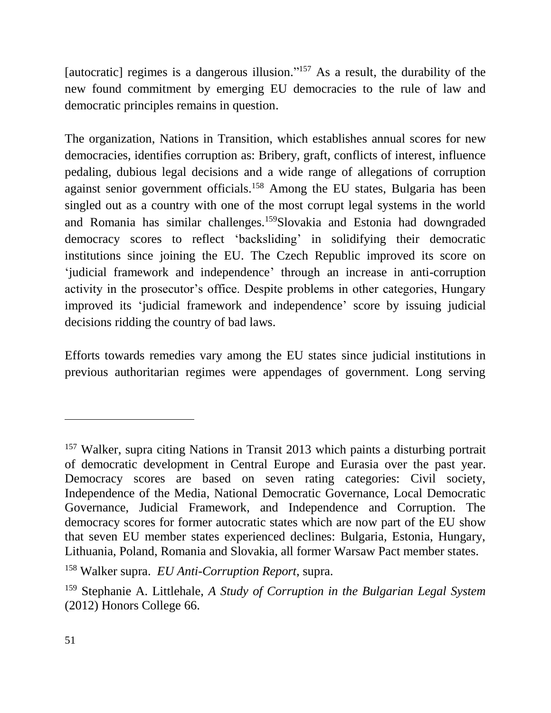[autocratic] regimes is a dangerous illusion."<sup>157</sup> As a result, the durability of the new found commitment by emerging EU democracies to the rule of law and democratic principles remains in question.

The organization, Nations in Transition, which establishes annual scores for new democracies, identifies corruption as: Bribery, graft, conflicts of interest, influence pedaling, dubious legal decisions and a wide range of allegations of corruption against senior government officials.<sup>158</sup> Among the EU states, Bulgaria has been singled out as a country with one of the most corrupt legal systems in the world and Romania has similar challenges.<sup>159</sup>Slovakia and Estonia had downgraded democracy scores to reflect 'backsliding' in solidifying their democratic institutions since joining the EU. The Czech Republic improved its score on 'judicial framework and independence' through an increase in anti-corruption activity in the prosecutor's office. Despite problems in other categories, Hungary improved its 'judicial framework and independence' score by issuing judicial decisions ridding the country of bad laws.

Efforts towards remedies vary among the EU states since judicial institutions in previous authoritarian regimes were appendages of government. Long serving

<sup>157</sup> Walker, supra citing Nations in Transit 2013 which paints a disturbing portrait of democratic development in Central Europe and Eurasia over the past year. Democracy scores are based on seven rating categories: Civil society, Independence of the Media, National Democratic Governance, Local Democratic Governance, Judicial Framework, and Independence and Corruption. The democracy scores for former autocratic states which are now part of the EU show that seven EU member states experienced declines: Bulgaria, Estonia, Hungary, Lithuania, Poland, Romania and Slovakia, all former Warsaw Pact member states.

<sup>158</sup> Walker supra. *EU Anti-Corruption Report*, supra.

<sup>159</sup> Stephanie A. Littlehale, *A Study of Corruption in the Bulgarian Legal System* (2012) Honors College 66.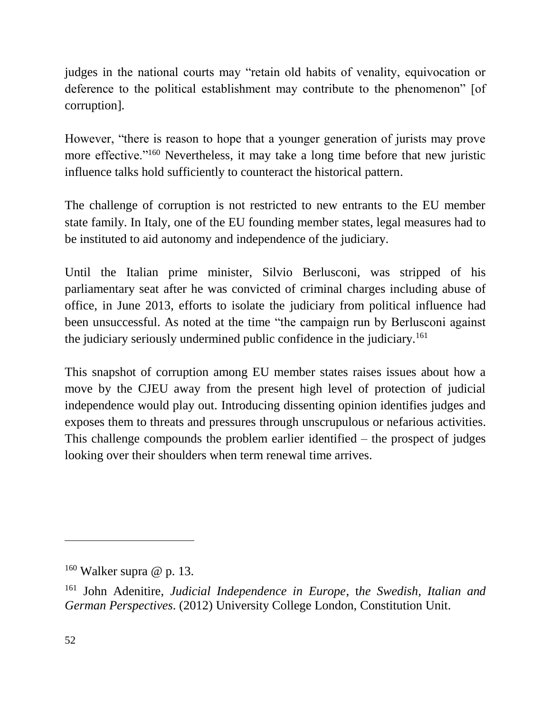judges in the national courts may "retain old habits of venality, equivocation or deference to the political establishment may contribute to the phenomenon" [of corruption].

However, "there is reason to hope that a younger generation of jurists may prove more effective."<sup>160</sup> Nevertheless, it may take a long time before that new juristic influence talks hold sufficiently to counteract the historical pattern.

The challenge of corruption is not restricted to new entrants to the EU member state family. In Italy, one of the EU founding member states, legal measures had to be instituted to aid autonomy and independence of the judiciary.

Until the Italian prime minister, Silvio Berlusconi, was stripped of his parliamentary seat after he was convicted of criminal charges including abuse of office, in June 2013, efforts to isolate the judiciary from political influence had been unsuccessful. As noted at the time "the campaign run by Berlusconi against the judiciary seriously undermined public confidence in the judiciary.<sup>161</sup>

This snapshot of corruption among EU member states raises issues about how a move by the CJEU away from the present high level of protection of judicial independence would play out. Introducing dissenting opinion identifies judges and exposes them to threats and pressures through unscrupulous or nefarious activities. This challenge compounds the problem earlier identified – the prospect of judges looking over their shoulders when term renewal time arrives.

 $160$  Walker supra @ p. 13.

<sup>161</sup> John Adenitire, *Judicial Independence in Europe*, t*he Swedish, Italian and German Perspectives*. (2012) University College London, Constitution Unit.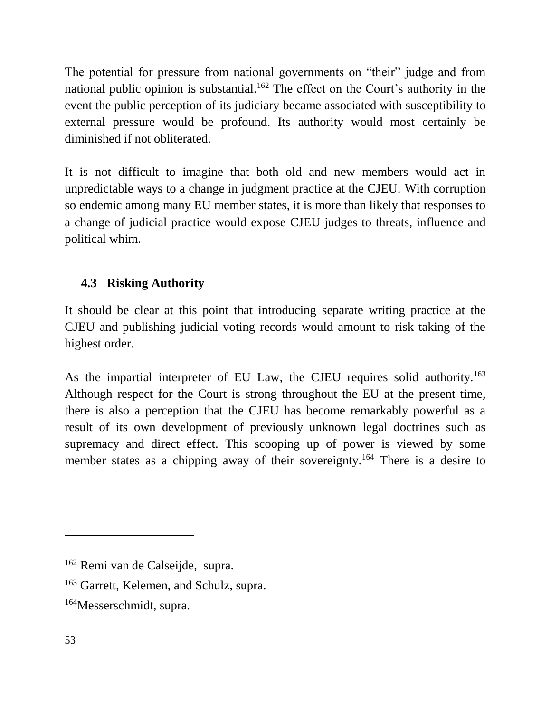The potential for pressure from national governments on "their" judge and from national public opinion is substantial.<sup>162</sup> The effect on the Court's authority in the event the public perception of its judiciary became associated with susceptibility to external pressure would be profound. Its authority would most certainly be diminished if not obliterated.

It is not difficult to imagine that both old and new members would act in unpredictable ways to a change in judgment practice at the CJEU. With corruption so endemic among many EU member states, it is more than likely that responses to a change of judicial practice would expose CJEU judges to threats, influence and political whim.

# <span id="page-52-0"></span>**4.3 Risking Authority**

It should be clear at this point that introducing separate writing practice at the CJEU and publishing judicial voting records would amount to risk taking of the highest order.

As the impartial interpreter of EU Law, the CJEU requires solid authority.<sup>163</sup> Although respect for the Court is strong throughout the EU at the present time, there is also a perception that the CJEU has become remarkably powerful as a result of its own development of previously unknown legal doctrines such as supremacy and direct effect. This scooping up of power is viewed by some member states as a chipping away of their sovereignty.<sup>164</sup> There is a desire to

<sup>162</sup> Remi van de Calseijde, supra.

<sup>&</sup>lt;sup>163</sup> Garrett, Kelemen, and Schulz, supra.

<sup>164</sup>Messerschmidt, supra.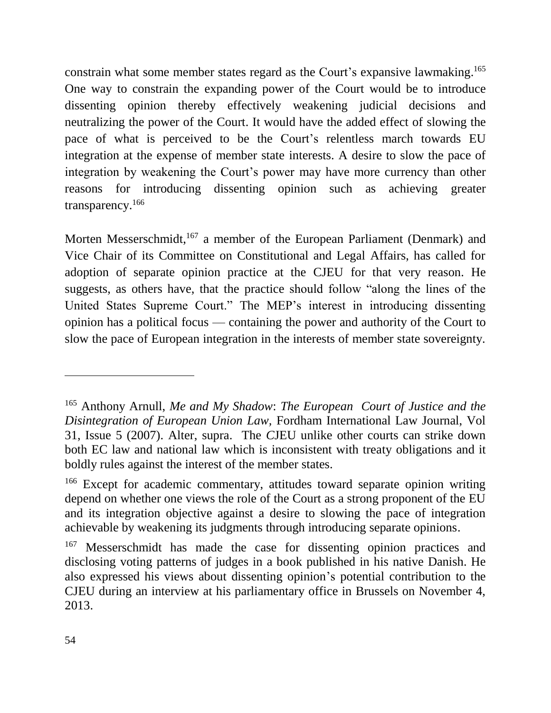constrain what some member states regard as the Court's expansive lawmaking. 165 One way to constrain the expanding power of the Court would be to introduce dissenting opinion thereby effectively weakening judicial decisions and neutralizing the power of the Court. It would have the added effect of slowing the pace of what is perceived to be the Court's relentless march towards EU integration at the expense of member state interests. A desire to slow the pace of integration by weakening the Court's power may have more currency than other reasons for introducing dissenting opinion such as achieving greater transparency.<sup>166</sup>

Morten Messerschmidt,<sup>167</sup> a member of the European Parliament (Denmark) and Vice Chair of its Committee on Constitutional and Legal Affairs, has called for adoption of separate opinion practice at the CJEU for that very reason. He suggests, as others have, that the practice should follow "along the lines of the United States Supreme Court." The MEP's interest in introducing dissenting opinion has a political focus — containing the power and authority of the Court to slow the pace of European integration in the interests of member state sovereignty.

<sup>165</sup> Anthony Arnull, *Me and My Shadow*: *The European Court of Justice and the Disintegration of European Union Law,* Fordham International Law Journal, Vol 31, Issue 5 (2007). Alter, supra.The *C*JEU unlike other courts can strike down both EC law and national law which is inconsistent with treaty obligations and it boldly rules against the interest of the member states.

<sup>166</sup> Except for academic commentary, attitudes toward separate opinion writing depend on whether one views the role of the Court as a strong proponent of the EU and its integration objective against a desire to slowing the pace of integration achievable by weakening its judgments through introducing separate opinions.

<sup>&</sup>lt;sup>167</sup> Messerschmidt has made the case for dissenting opinion practices and disclosing voting patterns of judges in a book published in his native Danish. He also expressed his views about dissenting opinion's potential contribution to the CJEU during an interview at his parliamentary office in Brussels on November 4, 2013.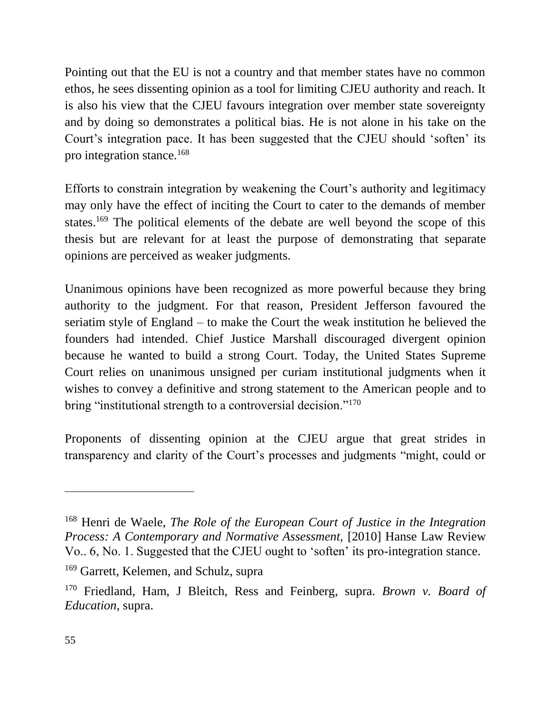Pointing out that the EU is not a country and that member states have no common ethos, he sees dissenting opinion as a tool for limiting CJEU authority and reach. It is also his view that the CJEU favours integration over member state sovereignty and by doing so demonstrates a political bias. He is not alone in his take on the Court's integration pace. It has been suggested that the CJEU should 'soften' its pro integration stance.<sup>168</sup>

Efforts to constrain integration by weakening the Court's authority and legitimacy may only have the effect of inciting the Court to cater to the demands of member states.<sup>169</sup> The political elements of the debate are well beyond the scope of this thesis but are relevant for at least the purpose of demonstrating that separate opinions are perceived as weaker judgments.

Unanimous opinions have been recognized as more powerful because they bring authority to the judgment. For that reason, President Jefferson favoured the seriatim style of England – to make the Court the weak institution he believed the founders had intended. Chief Justice Marshall discouraged divergent opinion because he wanted to build a strong Court. Today, the United States Supreme Court relies on unanimous unsigned per curiam institutional judgments when it wishes to convey a definitive and strong statement to the American people and to bring "institutional strength to a controversial decision."<sup>170</sup>

Proponents of dissenting opinion at the CJEU argue that great strides in transparency and clarity of the Court's processes and judgments "might, could or

<sup>168</sup> Henri de Waele, *The Role of the European Court of Justice in the Integration Process: A Contemporary and Normative Assessment,* [2010] Hanse Law Review Vo.. 6, No. 1. Suggested that the CJEU ought to 'soften' its pro-integration stance.

<sup>169</sup> Garrett, Kelemen, and Schulz, supra

<sup>170</sup> Friedland, Ham, J Bleitch, Ress and Feinberg, supra. *Brown v. Board of Education,* supra.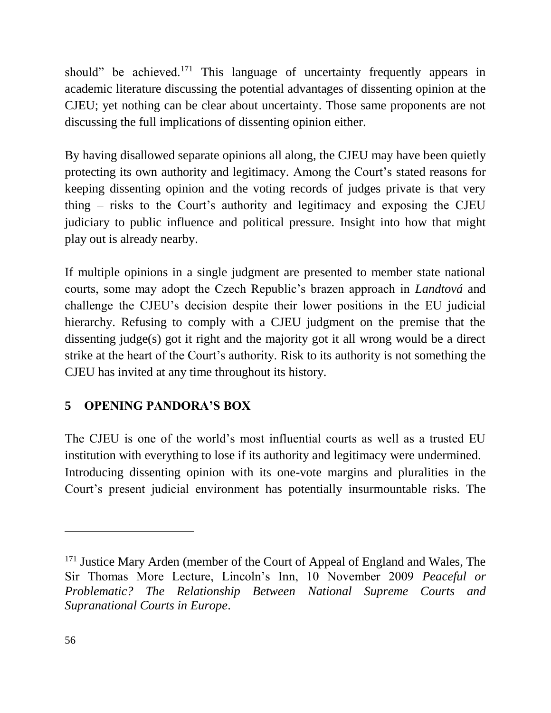should" be achieved.<sup>171</sup> This language of uncertainty frequently appears in academic literature discussing the potential advantages of dissenting opinion at the CJEU; yet nothing can be clear about uncertainty. Those same proponents are not discussing the full implications of dissenting opinion either.

By having disallowed separate opinions all along, the CJEU may have been quietly protecting its own authority and legitimacy. Among the Court's stated reasons for keeping dissenting opinion and the voting records of judges private is that very thing – risks to the Court's authority and legitimacy and exposing the CJEU judiciary to public influence and political pressure. Insight into how that might play out is already nearby.

If multiple opinions in a single judgment are presented to member state national courts, some may adopt the Czech Republic's brazen approach in *Landtová* and challenge the CJEU's decision despite their lower positions in the EU judicial hierarchy. Refusing to comply with a CJEU judgment on the premise that the dissenting judge(s) got it right and the majority got it all wrong would be a direct strike at the heart of the Court's authority. Risk to its authority is not something the CJEU has invited at any time throughout its history.

# <span id="page-55-0"></span>**5 OPENING PANDORA'S BOX**

The CJEU is one of the world's most influential courts as well as a trusted EU institution with everything to lose if its authority and legitimacy were undermined. Introducing dissenting opinion with its one-vote margins and pluralities in the Court's present judicial environment has potentially insurmountable risks. The

<sup>&</sup>lt;sup>171</sup> Justice Mary Arden (member of the Court of Appeal of England and Wales, The Sir Thomas More Lecture, Lincoln's Inn, 10 November 2009 *Peaceful or Problematic? The Relationship Between National Supreme Courts and Supranational Courts in Europe*.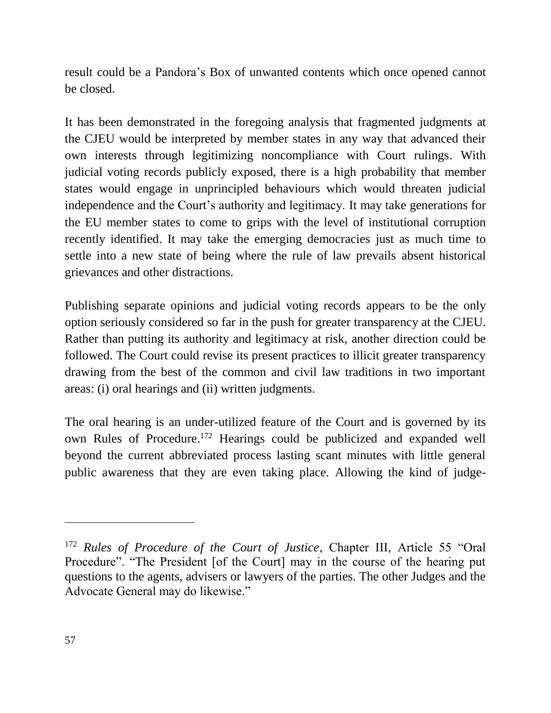result could be a Pandora's Box of unwanted contents which once opened cannot be closed.

It has been demonstrated in the foregoing analysis that fragmented judgments at the CJEU would be interpreted by member states in any way that advanced their own interests through legitimizing noncompliance with Court rulings. With judicial voting records publicly exposed, there is a high probability that member states would engage in unprincipled behaviours which would threaten judicial independence and the Court's authority and legitimacy. It may take generations for the EU member states to come to grips with the level of institutional corruption recently identified. It may take the emerging democracies just as much time to settle into a new state of being where the rule of law prevails absent historical grievances and other distractions.

Publishing separate opinions and judicial voting records appears to be the only option seriously considered so far in the push for greater transparency at the CJEU. Rather than putting its authority and legitimacy at risk, another direction could be followed. The Court could revise its present practices to illicit greater transparency drawing from the best of the common and civil law traditions in two important areas: (i) oral hearings and (ii) written judgments.

The oral hearing is an under-utilized feature of the Court and is governed by its own Rules of Procedure. <sup>172</sup> Hearings could be publicized and expanded well beyond the current abbreviated process lasting scant minutes with little general public awareness that they are even taking place. Allowing the kind of judge-

<sup>172</sup> *Rules of Procedure of the Court of Justice*, Chapter III, Article 55 "Oral Procedure". "The President [of the Court] may in the course of the hearing put questions to the agents, advisers or lawyers of the parties. The other Judges and the Advocate General may do likewise."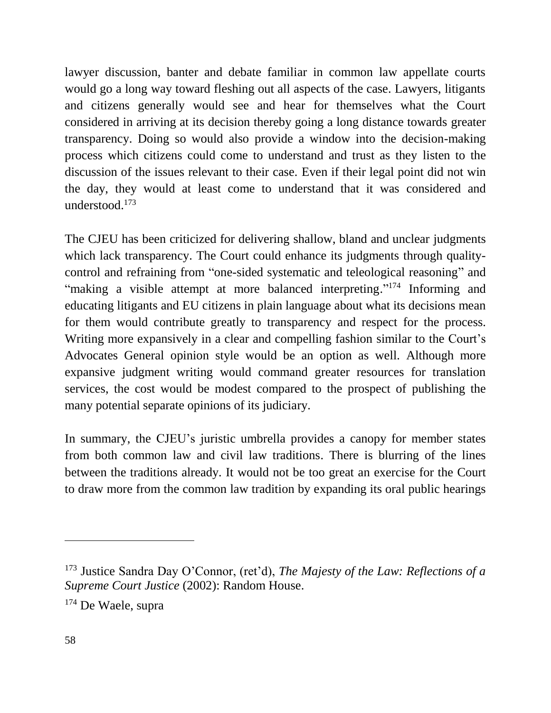lawyer discussion, banter and debate familiar in common law appellate courts would go a long way toward fleshing out all aspects of the case. Lawyers, litigants and citizens generally would see and hear for themselves what the Court considered in arriving at its decision thereby going a long distance towards greater transparency. Doing so would also provide a window into the decision-making process which citizens could come to understand and trust as they listen to the discussion of the issues relevant to their case. Even if their legal point did not win the day, they would at least come to understand that it was considered and understood.<sup>173</sup>

The CJEU has been criticized for delivering shallow, bland and unclear judgments which lack transparency. The Court could enhance its judgments through qualitycontrol and refraining from "one-sided systematic and teleological reasoning" and "making a visible attempt at more balanced interpreting."<sup>174</sup> Informing and educating litigants and EU citizens in plain language about what its decisions mean for them would contribute greatly to transparency and respect for the process. Writing more expansively in a clear and compelling fashion similar to the Court's Advocates General opinion style would be an option as well. Although more expansive judgment writing would command greater resources for translation services, the cost would be modest compared to the prospect of publishing the many potential separate opinions of its judiciary.

In summary, the CJEU's juristic umbrella provides a canopy for member states from both common law and civil law traditions. There is blurring of the lines between the traditions already. It would not be too great an exercise for the Court to draw more from the common law tradition by expanding its oral public hearings

<sup>173</sup> Justice Sandra Day O'Connor, (ret'd), *The Majesty of the Law: Reflections of a Supreme Court Justice* (2002): Random House.

<sup>174</sup> De Waele, supra